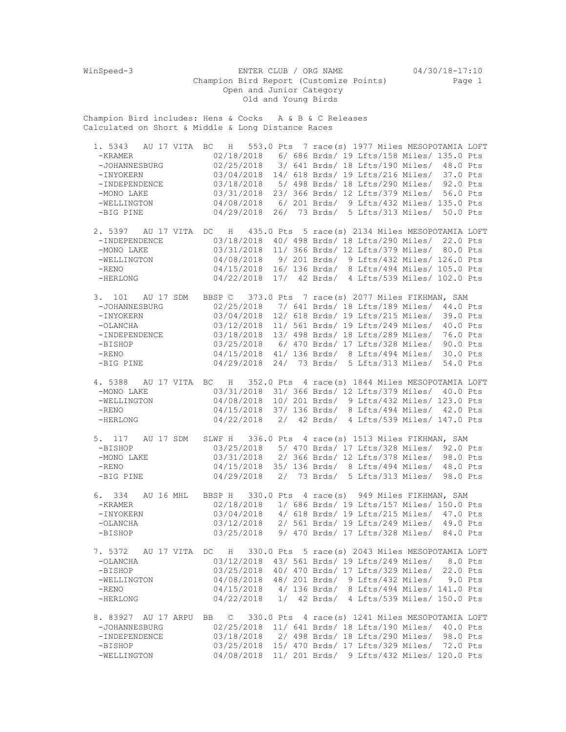WinSpeed-3 ENTER CLUB / ORG NAME 04/30/18-17:10 Champion Bird Report (Customize Points) Page 1 Open and Junior Category Old and Young Birds Champion Bird includes: Hens & Cocks A & B & C Releases Calculated on Short & Middle & Long Distance Races 1. 5343 AU 17 VITA BC H 553.0 Pts 7 race(s) 1977 Miles MESOPOTAMIA LOFT -KRAMER 02/18/2018 6/ 686 Brds/ 19 Lfts/158 Miles/ 135.0 Pts -JOHANNESBURG 02/25/2018 3/ 641 Brds/ 18 Lfts/190 Miles/ 48.0 Pts -INYOKERN 03/04/2018 14/ 618 Brds/ 19 Lfts/216 Miles/ 37.0 Pts -INDEPENDENCE 03/18/2018 5/ 498 Brds/ 18 Lfts/290 Miles/ 92.0 Pts<br>-MONO LAKE 03/31/2018 23/ 366 Brds/ 12 Lfts/379 Miles/ 56.0 Pts -MONO LAKE 03/31/2018 23/ 366 Brds/ 12 Lfts/379 Miles/ 56.0 Pts<br>-WELLINGTON 04/08/2018 6/ 201 Brds/ 9 Lfts/432 Miles/ 135.0 Pts 04/08/2018 6/ 201 Brds/ 9 Lfts/432 Miles/ 135.0 Pts -BIG PINE 04/29/2018 26/ 73 Brds/ 5 Lfts/313 Miles/ 50.0 Pts 2. 5397 AU 17 VITA DC H 435.0 Pts 5 race(s) 2134 Miles MESOPOTAMIA LOFT -INDEPENDENCE 03/18/2018 40/ 498 Brds/ 18 Lfts/290 Miles/ 22.0 Pts -MONO LAKE  $03/31/2018$  11/ 366 Brds/ 12 Lfts/379 Miles/ 80.0 Pts -WELLINGTON 04/08/2018 9/ 201 Brds/ 9 Lfts/432 Miles/ 126.0 Pts -RENO 04/15/2018 16/ 136 Brds/ 8 Lfts/494 Miles/ 105.0 Pts -HERLONG 04/22/2018 17/ 42 Brds/ 4 Lfts/539 Miles/ 102.0 Pts 3. 101 AU 17 SDM BBSP C 373.0 Pts 7 race(s) 2077 Miles FIKHMAN, SAM -JOHANNESBURG 02/25/2018 7/ 641 Brds/ 18 Lfts/189 Miles/ 44.0 Pts -INYOKERN 03/04/2018 12/ 618 Brds/ 19 Lfts/215 Miles/ 39.0 Pts -OLANCHA 03/12/2018 11/ 561 Brds/ 19 Lfts/249 Miles/ 40.0 Pts 03/18/2018 13/ 498 Brds/ 18 Lfts/289 Miles/ 76.0 Pts -BISHOP 03/25/2018 6/ 470 Brds/ 17 Lfts/328 Miles/ 90.0 Pts -RENO 04/15/2018 41/ 136 Brds/ 8 Lfts/494 Miles/ 30.0 Pts -BIG PINE 04/29/2018 24/ 73 Brds/ 5 Lfts/313 Miles/ 54.0 Pts 4. 5388 AU 17 VITA BC H 352.0 Pts 4 race(s) 1844 Miles MESOPOTAMIA LOFT -MONO LAKE 03/31/2018 31/ 366 Brds/ 12 Lfts/379 Miles/ 40.0 Pts<br>-WELLINGTON 04/08/2018 10/ 201 Brds/ 9 Lfts/432 Miles/ 123.0 Pts -WELLINGTON 04/08/2018 10/ 201 Brds/ 9 Lfts/432 Miles/ 123.0 Pts<br>-RENO 04/15/2018 37/ 136 Brds/ 8 Lfts/494 Miles/ 42.0 Pts -RENO 04/15/2018 37/ 136 Brds/ 8 Lfts/494 Miles/ 42.0 Pts -HERLONG 04/22/2018 2/ 42 Brds/ 4 Lfts/539 Miles/ 147.0 Pts 5. 117 AU 17 SDM SLWF H 336.0 Pts 4 race(s) 1513 Miles FIKHMAN, SAM -BISHOP 03/25/2018 5/ 470 Brds/ 17 Lfts/328 Miles/ 92.0 Pts<br>-MONO LAKE 03/31/2018 2/ 366 Brds/ 12 Lfts/378 Miles/ 98.0 Pts -MONO LAKE 03/31/2018 2/ 366 Brds/ 12 Lfts/378 Miles/ 98.0 Pts<br>-RENO 04/15/2018 35/ 136 Brds/ 8 Lfts/494 Miles/ 48.0 Pts 04/15/2018 35/ 136 Brds/ 8 Lfts/494 Miles/ 48.0 Pts -BIG PINE 04/29/2018 2/ 73 Brds/ 5 Lfts/313 Miles/ 98.0 Pts 6. 334 AU 16 MHL BBSP H 330.0 Pts 4 race(s) 949 Miles FIKHMAN, SAM -KRAMER 02/18/2018 1/ 686 Brds/ 19 Lfts/157 Miles/ 150.0 Pts -INYOKERN 03/04/2018 4/ 618 Brds/ 19 Lfts/215 Miles/ 47.0 Pts -OLANCHA 03/12/2018 2/ 561 Brds/ 19 Lfts/249 Miles/ 49.0 Pts 03/25/2018 9/ 470 Brds/ 17 Lfts/328 Miles/ 84.0 Pts 7. 5372 AU 17 VITA DC H 330.0 Pts 5 race(s) 2043 Miles MESOPOTAMIA LOFT -OLANCHA 03/12/2018 43/ 561 Brds/ 19 Lfts/249 Miles/ 8.0 Pts -BISHOP 03/25/2018 40/ 470 Brds/ 17 Lfts/329 Miles/ 22.0 Pts -WELLINGTON 04/08/2018 48/ 201 Brds/ 9 Lfts/432 Miles/ 9.0 Pts -RENO 04/15/2018 4/ 136 Brds/ 8 Lfts/494 Miles/ 141.0 Pts -HERLONG 04/22/2018 1/ 42 Brds/ 4 Lfts/539 Miles/ 150.0 Pts 8. 83927 AU 17 ARPU BB C 330.0 Pts 4 race(s) 1241 Miles MESOPOTAMIA LOFT -JOHANNESBURG 02/25/2018 11/ 641 Brds/ 18 Lfts/190 Miles/ 40.0 Pts -INDEPENDENCE 03/18/2018 2/ 498 Brds/ 18 Lfts/290 Miles/ 98.0 Pts<br>-BISHOP 03/25/2018 15/ 470 Brds/ 17 Lfts/329 Miles/ 72.0 Pts -BISHOP 03/25/2018 15/ 470 Brds/ 17 Lfts/329 Miles/ 72.0 Pts<br>-WELLINGTON 04/08/2018 11/ 201 Brds/ 9 Lfts/432 Miles/ 120.0 Pts 04/08/2018 11/ 201 Brds/ 9 Lfts/432 Miles/ 120.0 Pts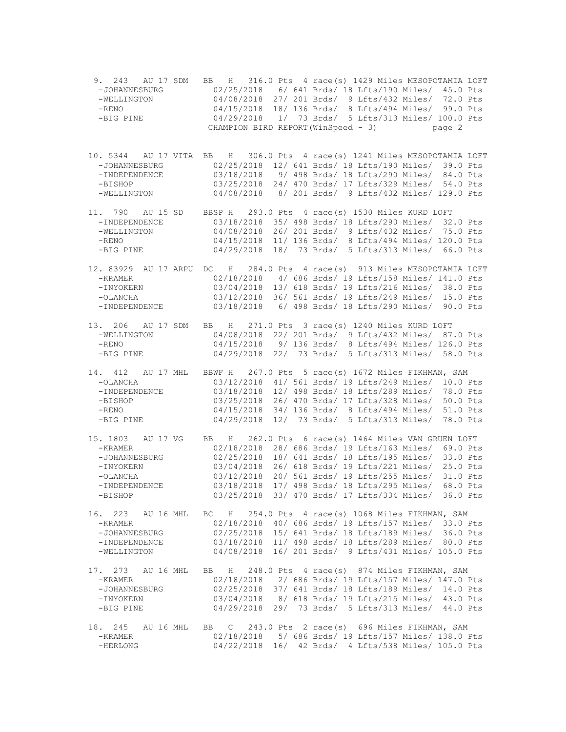9. 243 AU 17 SDM BB H 316.0 Pts 4 race(s) 1429 Miles MESOPOTAMIA LOFT -JOHANNESBURG 02/25/2018 6/ 641 Brds/ 18 Lfts/190 Miles/ 45.0 Pts -WELLINGTON 04/08/2018 27/ 201 Brds/ 9 Lfts/432 Miles/ 72.0 Pts<br>-RENO 04/15/2018 18/ 136 Brds/ 8 Lfts/494 Miles/ 99.0 Pts -RENO 04/15/2018 18/ 136 Brds/ 8 Lfts/494 Miles/ 99.0 Pts<br>-BIG PINE 04/29/2018 1/ 73 Brds/ 5 Lfts/313 Miles/ 100.0 Pts 04/29/2018 1/ 73 Brds/ 5 Lfts/313 Miles/ 100.0 Pts CHAMPION BIRD REPORT (WinSpeed - 3) page 2 10. 5344 AU 17 VITA BB H 306.0 Pts 4 race(s) 1241 Miles MESOPOTAMIA LOFT -JOHANNESBURG 02/25/2018 12/ 641 Brds/ 18 Lfts/190 Miles/ 39.0 Pts -INDEPENDENCE 03/18/2018 9/ 498 Brds/ 18 Lfts/290 Miles/ 84.0 Pts -BISHOP 03/25/2018 24/ 470 Brds/ 17 Lfts/329 Miles/ 54.0 Pts<br>-WELLINGTON 04/08/2018 8/ 201 Brds/ 9 Lfts/432 Miles/ 129.0 Pts 04/08/2018 8/ 201 Brds/ 9 Lfts/432 Miles/ 129.0 Pts 11. 790 AU 15 SD BBSP H 293.0 Pts 4 race(s) 1530 Miles KURD LOFT -INDEPENDENCE 03/18/2018 35/ 498 Brds/ 18 Lfts/290 Miles/ 32.0 Pts -WELLINGTON 04/08/2018 26/ 201 Brds/ 9 Lfts/432 Miles/ 75.0 Pts<br>-RENO 04/15/2018 11/ 136 Brds/ 8 Lfts/494 Miles/ 120.0 Pts -RENO 04/15/2018 11/ 136 Brds/ 8 Lfts/494 Miles/ 120.0 Pts -BIG PINE 04/29/2018 18/ 73 Brds/ 5 Lfts/313 Miles/ 66.0 Pts 12. 83929 AU 17 ARPU DC H 284.0 Pts 4 race(s) 913 Miles MESOPOTAMIA LOFT -KRAMER 02/18/2018 4/ 686 Brds/ 19 Lfts/158 Miles/ 141.0 Pts -INYOKERN 03/04/2018 13/ 618 Brds/ 19 Lfts/216 Miles/ 38.0 Pts -OLANCHA 03/12/2018 36/ 561 Brds/ 19 Lfts/249 Miles/ 15.0 Pts -INDEPENDENCE 03/18/2018 6/ 498 Brds/ 18 Lfts/290 Miles/ 90.0 Pts 13. 206 AU 17 SDM BB H 271.0 Pts 3 race(s) 1240 Miles KURD LOFT 04/08/2018 22/ 201 Brds/ 9 Lfts/432 Miles/ 87.0 Pts -RENO 04/15/2018 9/ 136 Brds/ 8 Lfts/494 Miles/ 126.0 Pts -BIG PINE 04/29/2018 22/ 73 Brds/ 5 Lfts/313 Miles/ 58.0 Pts 14. 412 AU 17 MHL BBWF H 267.0 Pts 5 race(s) 1672 Miles FIKHMAN, SAM -OLANCHA 03/12/2018 41/ 561 Brds/ 19 Lfts/249 Miles/ 10.0 Pts<br>-INDEPENDENCE 03/18/2018 12/ 498 Brds/ 18 Lfts/289 Miles/ 78.0 Pts -INDEPENDENCE 03/18/2018 12/ 498 Brds/ 18 Lfts/289 Miles/ 78.0 Pts -BISHOP 03/25/2018 26/ 470 Brds/ 17 Lfts/328 Miles/ 50.0 Pts -RENO 04/15/2018 34/ 136 Brds/ 8 Lfts/494 Miles/ 51.0 Pts -BIG PINE 04/29/2018 12/ 73 Brds/ 5 Lfts/313 Miles/ 78.0 Pts 15. 1803 AU 17 VG BB H 262.0 Pts 6 race(s) 1464 Miles VAN GRUEN LOFT -KRAMER 02/18/2018 28/ 686 Brds/ 19 Lfts/163 Miles/ 69.0 Pts<br>-JOHANNESBURG 02/25/2018 18/ 641 Brds/ 18 Lfts/195 Miles/ 33.0 Pts 02/25/2018 18/ 641 Brds/ 18 Lfts/195 Miles/ 33.0 Pts -INYOKERN 03/04/2018 26/ 618 Brds/ 19 Lfts/221 Miles/ 25.0 Pts -OLANCHA 03/12/2018 20/ 561 Brds/ 19 Lfts/255 Miles/ 31.0 Pts 03/18/2018 17/ 498 Brds/ 18 Lfts/295 Miles/ 68.0 Pts -BISHOP 03/25/2018 33/ 470 Brds/ 17 Lfts/334 Miles/ 36.0 Pts 16. 223 AU 16 MHL BC H 254.0 Pts 4 race(s) 1068 Miles FIKHMAN, SAM -KRAMER 02/18/2018 40/ 686 Brds/ 19 Lfts/157 Miles/ 33.0 Pts -JOHANNESBURG 02/25/2018 15/ 641 Brds/ 18 Lfts/189 Miles/ 36.0 Pts -INDEPENDENCE 03/18/2018 11/ 498 Brds/ 18 Lfts/289 Miles/ 80.0 Pts -WELLINGTON 04/08/2018 16/ 201 Brds/ 9 Lfts/431 Miles/ 105.0 Pts 17. 273 AU 16 MHL BB H 248.0 Pts 4 race(s) 874 Miles FIKHMAN, SAM -KRAMER 02/18/2018 2/ 686 Brds/ 19 Lfts/157 Miles/ 147.0 Pts -JOHANNESBURG 02/25/2018 37/ 641 Brds/ 18 Lfts/189 Miles/ 14.0 Pts -INYOKERN 03/04/2018 8/ 618 Brds/ 19 Lfts/215 Miles/ 43.0 Pts -BIG PINE 04/29/2018 29/ 73 Brds/ 5 Lfts/313 Miles/ 44.0 Pts 18. 245 AU 16 MHL BB C 243.0 Pts 2 race(s) 696 Miles FIKHMAN, SAM -KRAMER 02/18/2018 5/ 686 Brds/ 19 Lfts/157 Miles/ 138.0 Pts<br>-HERLONG 04/22/2018 16/ 42 Brds/ 4 Lfts/538 Miles/ 105.0 Pts 04/22/2018 16/ 42 Brds/ 4 Lfts/538 Miles/ 105.0 Pts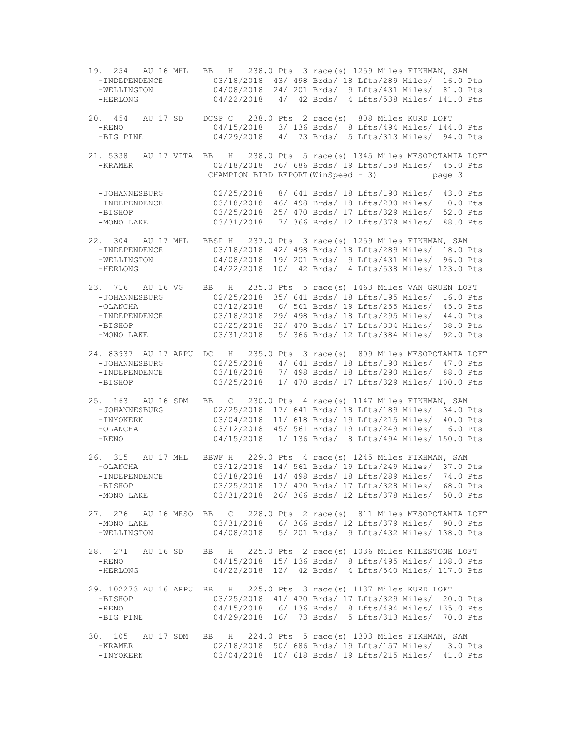19. 254 AU 16 MHL BB H 238.0 Pts 3 race(s) 1259 Miles FIKHMAN, SAM 03/18/2018 43/ 498 Brds/ 18 Lfts/289 Miles/ 16.0 Pts -WELLINGTON 04/08/2018 24/ 201 Brds/ 9 Lfts/431 Miles/ 81.0 Pts -HERLONG 04/22/2018 4/ 42 Brds/ 4 Lfts/538 Miles/ 141.0 Pts 20. 454 AU 17 SD DCSP C 238.0 Pts 2 race(s) 808 Miles KURD LOFT -RENO 04/15/2018 3/ 136 Brds/ 8 Lfts/494 Miles/ 144.0 Pts -BIG PINE 04/29/2018 4/ 73 Brds/ 5 Lfts/313 Miles/ 94.0 Pts 21. 5338 AU 17 VITA BB H 238.0 Pts 5 race(s) 1345 Miles MESOPOTAMIA LOFT -KRAMER 02/18/2018 36/ 686 Brds/ 19 Lfts/158 Miles/ 45.0 Pts CHAMPION BIRD REPORT(WinSpeed - 3) page 3 -JOHANNESBURG 02/25/2018 8/ 641 Brds/ 18 Lfts/190 Miles/ 43.0 Pts 03/18/2018 46/ 498 Brds/ 18 Lfts/290 Miles/ 10.0 Pts -BISHOP 03/25/2018 25/ 470 Brds/ 17 Lfts/329 Miles/ 52.0 Pts -MONO LAKE 03/31/2018 7/ 366 Brds/ 12 Lfts/379 Miles/ 88.0 Pts 22. 304 AU 17 MHL BBSP H 237.0 Pts 3 race(s) 1259 Miles FIKHMAN, SAM -INDEPENDENCE 03/18/2018 42/ 498 Brds/ 18 Lfts/289 Miles/ 18.0 Pts<br>-WELLINGTON 04/08/2018 19/ 201 Brds/ 9 Lfts/431 Miles/ 96.0 Pts -WELLINGTON 04/08/2018 19/ 201 Brds/ 9 Lfts/431 Miles/ 96.0 Pts<br>-HERLONG 04/22/2018 10/ 42 Brds/ 4 Lfts/538 Miles/ 123.0 Pts 04/22/2018 10/ 42 Brds/ 4 Lfts/538 Miles/ 123.0 Pts 23. 716 AU 16 VG BB H 235.0 Pts 5 race(s) 1463 Miles VAN GRUEN LOFT -JOHANNESBURG 02/25/2018 35/ 641 Brds/ 18 Lfts/195 Miles/ 16.0 Pts -OLANCHA 03/12/2018 6/ 561 Brds/ 19 Lfts/255 Miles/ 45.0 Pts -INDEPENDENCE 03/18/2018 29/ 498 Brds/ 18 Lfts/295 Miles/ 44.0 Pts -BISHOP 03/25/2018 32/ 470 Brds/ 17 Lfts/334 Miles/ 38.0 Pts -MONO LAKE 03/31/2018 5/ 366 Brds/ 12 Lfts/384 Miles/ 92.0 Pts 24. 83937 AU 17 ARPU DC H 235.0 Pts 3 race(s) 809 Miles MESOPOTAMIA LOFT -JOHANNESBURG 02/25/2018 4/ 641 Brds/ 18 Lfts/190 Miles/ 47.0 Pts -INDEPENDENCE 03/18/2018 7/ 498 Brds/ 18 Lfts/290 Miles/ 88.0 Pts<br>-BISHOP 03/25/2018 1/ 470 Brds/ 17 Lfts/329 Miles/ 100.0 Pts 03/25/2018 1/ 470 Brds/ 17 Lfts/329 Miles/ 100.0 Pts 25. 163 AU 16 SDM BB C 230.0 Pts 4 race(s) 1147 Miles FIKHMAN, SAM -JOHANNESBURG 02/25/2018 17/ 641 Brds/ 18 Lfts/189 Miles/ 34.0 Pts -INYOKERN 03/04/2018 11/ 618 Brds/ 19 Lfts/215 Miles/ 40.0 Pts -OLANCHA 03/12/2018 45/ 561 Brds/ 19 Lfts/249 Miles/ 6.0 Pts -RENO 04/15/2018 1/ 136 Brds/ 8 Lfts/494 Miles/ 150.0 Pts 26. 315 AU 17 MHL BBWF H 229.0 Pts 4 race(s) 1245 Miles FIKHMAN, SAM 03/12/2018 14/ 561 Brds/ 19 Lfts/249 Miles/ 37.0 Pts -INDEPENDENCE 03/18/2018 14/ 498 Brds/ 18 Lfts/289 Miles/ 74.0 Pts<br>-BISHOP 03/25/2018 17/ 470 Brds/ 17 Lfts/328 Miles/ 68.0 Pts 03/25/2018 17/ 470 Brds/ 17 Lfts/328 Miles/ 68.0 Pts -MONO LAKE 03/31/2018 26/ 366 Brds/ 12 Lfts/378 Miles/ 50.0 Pts 27. 276 AU 16 MESO BB C 228.0 Pts 2 race(s) 811 Miles MESOPOTAMIA LOFT -MONO LAKE 03/31/2018 6/ 366 Brds/ 12 Lfts/379 Miles/ 90.0 Pts 04/08/2018 5/ 201 Brds/ 9 Lfts/432 Miles/ 138.0 Pts 28. 271 AU 16 SD BB H 225.0 Pts 2 race(s) 1036 Miles MILESTONE LOFT -RENO 04/15/2018 15/ 136 Brds/ 8 Lfts/495 Miles/ 108.0 Pts -HERLONG 04/22/2018 12/ 42 Brds/ 4 Lfts/540 Miles/ 117.0 Pts 29. 102273 AU 16 ARPU BB H 225.0 Pts 3 race(s) 1137 Miles KURD LOFT -BISHOP 03/25/2018 41/ 470 Brds/ 17 Lfts/329 Miles/ 20.0 Pts<br>-RENO 04/15/2018 6/ 136 Brds/ 8 Lfts/494 Miles/ 135.0 Pts 04/15/2018 6/ 136 Brds/ 8 Lfts/494 Miles/ 135.0 Pts -BIG PINE 04/29/2018 16/ 73 Brds/ 5 Lfts/313 Miles/ 70.0 Pts 30. 105 AU 17 SDM BB H 224.0 Pts 5 race(s) 1303 Miles FIKHMAN, SAM -KRAMER 02/18/2018 50/ 686 Brds/ 19 Lfts/157 Miles/ 3.0 Pts 03/04/2018 10/ 618 Brds/ 19 Lfts/215 Miles/ 41.0 Pts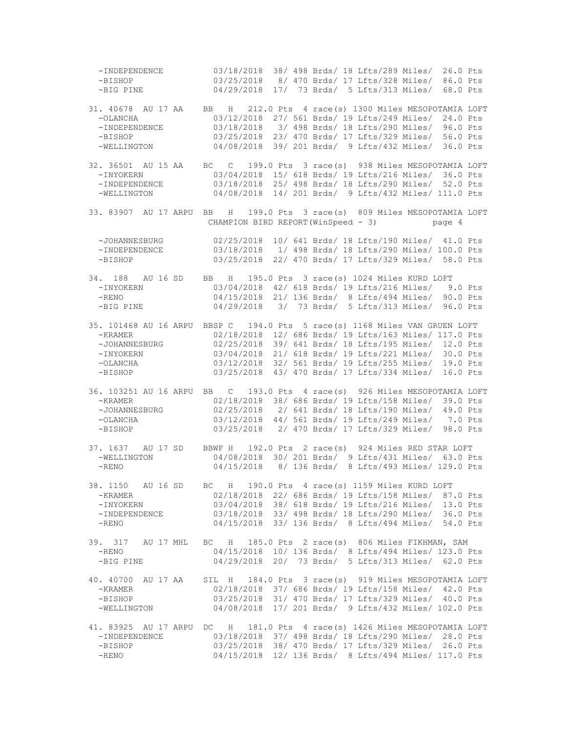-INDEPENDENCE 03/18/2018 38/ 498 Brds/ 18 Lfts/289 Miles/ 26.0 Pts -BISHOP 03/25/2018 8/ 470 Brds/ 17 Lfts/328 Miles/ 86.0 Pts -BIG PINE 04/29/2018 17/ 73 Brds/ 5 Lfts/313 Miles/ 68.0 Pts 31. 40678 AU 17 AA BB H 212.0 Pts 4 race(s) 1300 Miles MESOPOTAMIA LOFT -OLANCHA 03/12/2018 27/ 561 Brds/ 19 Lfts/249 Miles/ 24.0 Pts -INDEPENDENCE 03/18/2018 3/ 498 Brds/ 18 Lfts/290 Miles/ 96.0 Pts -BISHOP 03/25/2018 23/ 470 Brds/ 17 Lfts/329 Miles/ 56.0 Pts -WELLINGTON 04/08/2018 39/ 201 Brds/ 9 Lfts/432 Miles/ 36.0 Pts 32. 36501 AU 15 AA BC C 199.0 Pts 3 race(s) 938 Miles MESOPOTAMIA LOFT -INYOKERN 03/04/2018 15/ 618 Brds/ 19 Lfts/216 Miles/ 36.0 Pts 03/18/2018 25/ 498 Brds/ 18 Lfts/290 Miles/ 52.0 Pts -WELLINGTON 04/08/2018 14/ 201 Brds/ 9 Lfts/432 Miles/ 111.0 Pts 33. 83907 AU 17 ARPU BB H 199.0 Pts 3 race(s) 809 Miles MESOPOTAMIA LOFT CHAMPION BIRD REPORT(WinSpeed - 3) page 4 -JOHANNESBURG 02/25/2018 10/ 641 Brds/ 18 Lfts/190 Miles/ 41.0 Pts -INDEPENDENCE 03/18/2018 1/ 498 Brds/ 18 Lfts/290 Miles/ 100.0 Pts -BISHOP 03/25/2018 22/ 470 Brds/ 17 Lfts/329 Miles/ 58.0 Pts 34. 188 AU 16 SD BB H 195.0 Pts 3 race(s) 1024 Miles KURD LOFT -INYOKERN 03/04/2018 42/ 618 Brds/ 19 Lfts/216 Miles/ 9.0 Pts -RENO 04/15/2018 21/ 136 Brds/ 8 Lfts/494 Miles/ 90.0 Pts -BIG PINE 04/29/2018 3/ 73 Brds/ 5 Lfts/313 Miles/ 96.0 Pts 35. 101468 AU 16 ARPU BBSP C 194.0 Pts 5 race(s) 1168 Miles VAN GRUEN LOFT 02/18/2018 12/ 686 Brds/ 19 Lfts/163 Miles/ 117.0 Pts -JOHANNESBURG 02/25/2018 39/ 641 Brds/ 18 Lfts/195 Miles/ 12.0 Pts -INYOKERN 03/04/2018 21/ 618 Brds/ 19 Lfts/221 Miles/ 30.0 Pts -OLANCHA 03/12/2018 32/ 561 Brds/ 19 Lfts/255 Miles/ 19.0 Pts -BISHOP 03/25/2018 43/ 470 Brds/ 17 Lfts/334 Miles/ 16.0 Pts 36. 103251 AU 16 ARPU BB C 193.0 Pts 4 race(s) 926 Miles MESOPOTAMIA LOFT -KRAMER 02/18/2018 38/ 686 Brds/ 19 Lfts/158 Miles/ 39.0 Pts -JOHANNESBURG 02/25/2018 2/ 641 Brds/ 18 Lfts/190 Miles/ 49.0 Pts -OLANCHA 03/12/2018 44/ 561 Brds/ 19 Lfts/249 Miles/ 7.0 Pts -BISHOP 03/25/2018 2/ 470 Brds/ 17 Lfts/329 Miles/ 98.0 Pts 37. 1637 AU 17 SD BBWF H 192.0 Pts 2 race(s) 924 Miles RED STAR LOFT 04/08/2018 30/ 201 Brds/ 9 Lfts/431 Miles/ 63.0 Pts -RENO 04/15/2018 8/ 136 Brds/ 8 Lfts/493 Miles/ 129.0 Pts 38. 1150 AU 16 SD BC H 190.0 Pts 4 race(s) 1159 Miles KURD LOFT -KRAMER 02/18/2018 22/ 686 Brds/ 19 Lfts/158 Miles/ 87.0 Pts -INYOKERN 03/04/2018 38/ 618 Brds/ 19 Lfts/216 Miles/ 13.0 Pts -INDEPENDENCE 03/18/2018 33/ 498 Brds/ 18 Lfts/290 Miles/ 36.0 Pts -RENO 04/15/2018 33/ 136 Brds/ 8 Lfts/494 Miles/ 54.0 Pts 39. 317 AU 17 MHL BC H 185.0 Pts 2 race(s) 806 Miles FIKHMAN, SAM -RENO 04/15/2018 10/ 136 Brds/ 8 Lfts/494 Miles/ 123.0 Pts -BIG PINE 04/29/2018 20/ 73 Brds/ 5 Lfts/313 Miles/ 62.0 Pts 40. 40700 AU 17 AA SIL H 184.0 Pts 3 race(s) 919 Miles MESOPOTAMIA LOFT -KRAMER 02/18/2018 37/ 686 Brds/ 19 Lfts/158 Miles/ 42.0 Pts -BISHOP 03/25/2018 31/ 470 Brds/ 17 Lfts/329 Miles/ 40.0 Pts -WELLINGTON 04/08/2018 17/ 201 Brds/ 9 Lfts/432 Miles/ 102.0 Pts 41. 83925 AU 17 ARPU DC H 181.0 Pts 4 race(s) 1426 Miles MESOPOTAMIA LOFT -INDEPENDENCE 03/18/2018 37/ 498 Brds/ 18 Lfts/290 Miles/ 28.0 Pts -BISHOP 03/25/2018 38/ 470 Brds/ 17 Lfts/329 Miles/ 26.0 Pts<br>-RENO 04/15/2018 12/ 136 Brds/ 8 Lfts/494 Miles/ 117.0 Pts 04/15/2018 12/ 136 Brds/ 8 Lfts/494 Miles/ 117.0 Pts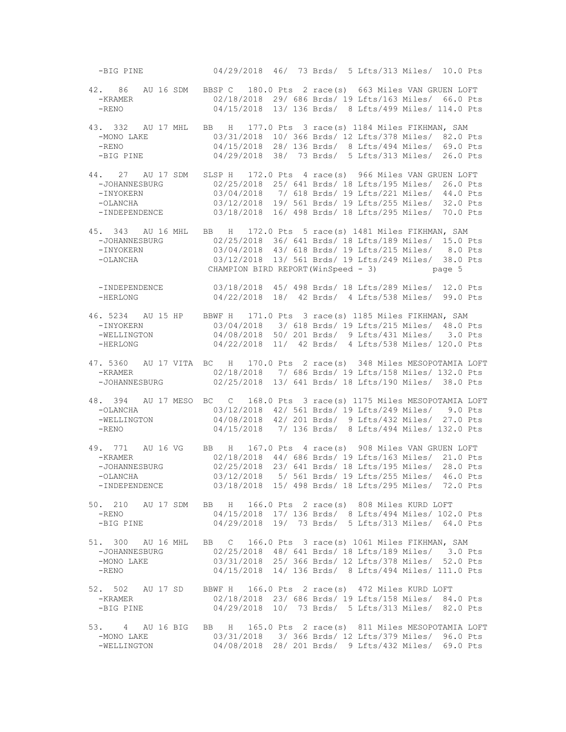-BIG PINE 04/29/2018 46/ 73 Brds/ 5 Lfts/313 Miles/ 10.0 Pts 42. 86 AU 16 SDM BBSP C 180.0 Pts 2 race(s) 663 Miles VAN GRUEN LOFT -KRAMER 02/18/2018 29/ 686 Brds/ 19 Lfts/163 Miles/ 66.0 Pts 04/15/2018 13/ 136 Brds/ 8 Lfts/499 Miles/ 114.0 Pts 43. 332 AU 17 MHL BB H 177.0 Pts 3 race(s) 1184 Miles FIKHMAN, SAM -MONO LAKE 03/31/2018 10/ 366 Brds/ 12 Lfts/378 Miles/ 82.0 Pts -RENO 04/15/2018 28/ 136 Brds/ 8 Lfts/494 Miles/ 69.0 Pts -BIG PINE 04/29/2018 38/ 73 Brds/ 5 Lfts/313 Miles/ 26.0 Pts 44. 27 AU 17 SDM SLSP H 172.0 Pts 4 race(s) 966 Miles VAN GRUEN LOFT -JOHANNESBURG 02/25/2018 25/ 641 Brds/ 18 Lfts/195 Miles/ 26.0 Pts -INYOKERN 03/04/2018 7/ 618 Brds/ 19 Lfts/221 Miles/ 44.0 Pts<br>-OLANCHA 03/12/2018 19/ 561 Brds/ 19 Lfts/255 Miles/ 32.0 Pts -OLANCHA 03/12/2018 19/ 561 Brds/ 19 Lfts/255 Miles/ 32.0 Pts 03/18/2018 16/ 498 Brds/ 18 Lfts/295 Miles/ 70.0 Pts 45. 343 AU 16 MHL BB H 172.0 Pts 5 race(s) 1481 Miles FIKHMAN, SAM -JOHANNESBURG 02/25/2018 36/ 641 Brds/ 18 Lfts/189 Miles/ 15.0 Pts -INYOKERN 03/04/2018 43/ 618 Brds/ 19 Lfts/215 Miles/ 8.0 Pts 03/12/2018 13/ 561 Brds/ 19 Lfts/249 Miles/ 38.0 Pts CHAMPION BIRD REPORT(WinSpeed - 3) page 5 -INDEPENDENCE 03/18/2018 45/ 498 Brds/ 18 Lfts/289 Miles/ 12.0 Pts -HERLONG 04/22/2018 18/ 42 Brds/ 4 Lfts/538 Miles/ 99.0 Pts 46. 5234 AU 15 HP BBWF H 171.0 Pts 3 race(s) 1185 Miles FIKHMAN, SAM -INYOKERN 03/04/2018 3/ 618 Brds/ 19 Lfts/215 Miles/ 48.0 Pts<br>-WELLINGTON 04/08/2018 50/ 201 Brds/ 9 Lfts/431 Miles/ 3.0 Pts 04/08/2018 50/ 201 Brds/ 9 Lfts/431 Miles/ 3.0 Pts -HERLONG 04/22/2018 11/ 42 Brds/ 4 Lfts/538 Miles/ 120.0 Pts 47. 5360 AU 17 VITA BC H 170.0 Pts 2 race(s) 348 Miles MESOPOTAMIA LOFT -KRAMER 02/18/2018 7/ 686 Brds/ 19 Lfts/158 Miles/ 132.0 Pts<br>-JOHANNESBURG 02/25/2018 13/ 641 Brds/ 18 Lfts/190 Miles/ 38.0 Pts 02/25/2018 13/ 641 Brds/ 18 Lfts/190 Miles/ 38.0 Pts 48. 394 AU 17 MESO BC C 168.0 Pts 3 race(s) 1175 Miles MESOPOTAMIA LOFT -OLANCHA 03/12/2018 42/ 561 Brds/ 19 Lfts/249 Miles/ 9.0 Pts -WELLINGTON 04/08/2018 42/ 201 Brds/ 9 Lfts/432 Miles/ 27.0 Pts -RENO 04/15/2018 7/ 136 Brds/ 8 Lfts/494 Miles/ 132.0 Pts 49. 771 AU 16 VG BB H 167.0 Pts 4 race(s) 908 Miles VAN GRUEN LOFT -KRAMER 02/18/2018 44/ 686 Brds/ 19 Lfts/163 Miles/ 21.0 Pts 02/25/2018 23/ 641 Brds/ 18 Lfts/195 Miles/ 28.0 Pts -OLANCHA 03/12/2018 5/ 561 Brds/ 19 Lfts/255 Miles/ 46.0 Pts 03/18/2018 15/ 498 Brds/ 18 Lfts/295 Miles/ 72.0 Pts 50. 210 AU 17 SDM BB H 166.0 Pts 2 race(s) 808 Miles KURD LOFT -RENO 04/15/2018 17/ 136 Brds/ 8 Lfts/494 Miles/ 102.0 Pts<br>-BIG PINE 04/29/2018 19/ 73 Brds/ 5 Lfts/313 Miles/ 64.0 Pts 04/29/2018 19/ 73 Brds/ 5 Lfts/313 Miles/ 64.0 Pts 51. 300 AU 16 MHL BB C 166.0 Pts 3 race(s) 1061 Miles FIKHMAN, SAM -JOHANNESBURG 02/25/2018 48/ 641 Brds/ 18 Lfts/189 Miles/ 3.0 Pts -MONO LAKE  $03/31/2018$  25/ 366 Brds/ 12 Lfts/378 Miles/ 52.0 Pts -RENO 04/15/2018 14/ 136 Brds/ 8 Lfts/494 Miles/ 111.0 Pts 52. 502 AU 17 SD BBWF H 166.0 Pts 2 race(s) 472 Miles KURD LOFT -KRAMER 02/18/2018 23/ 686 Brds/ 19 Lfts/158 Miles/ 84.0 Pts -BIG PINE 04/29/2018 10/ 73 Brds/ 5 Lfts/313 Miles/ 82.0 Pts 53. 4 AU 16 BIG BB H 165.0 Pts 2 race(s) 811 Miles MESOPOTAMIA LOFT -MONO LAKE 03/31/2018 3/ 366 Brds/ 12 Lfts/379 Miles/ 96.0 Pts -WELLINGTON 04/08/2018 28/ 201 Brds/ 9 Lfts/432 Miles/ 69.0 Pts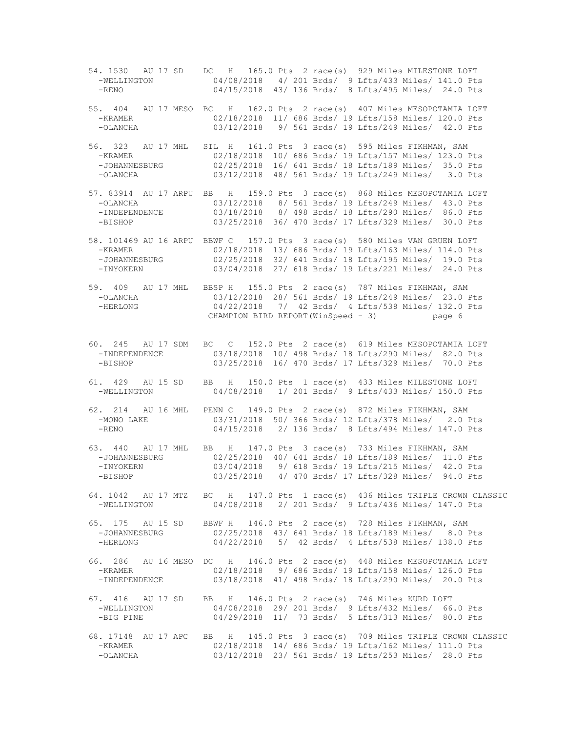54. 1530 AU 17 SD DC H 165.0 Pts 2 race(s) 929 Miles MILESTONE LOFT 04/08/2018 4/ 201 Brds/ 9 Lfts/433 Miles/ 141.0 Pts -RENO 04/15/2018 43/ 136 Brds/ 8 Lfts/495 Miles/ 24.0 Pts 55. 404 AU 17 MESO BC H 162.0 Pts 2 race(s) 407 Miles MESOPOTAMIA LOFT -KRAMER 02/18/2018 11/ 686 Brds/ 19 Lfts/158 Miles/ 120.0 Pts 03/12/2018 9/ 561 Brds/ 19 Lfts/249 Miles/ 42.0 Pts 56. 323 AU 17 MHL SIL H 161.0 Pts 3 race(s) 595 Miles FIKHMAN, SAM -KRAMER 02/18/2018 10/ 686 Brds/ 19 Lfts/157 Miles/ 123.0 Pts -JOHANNESBURG 02/25/2018 16/ 641 Brds/ 18 Lfts/189 Miles/ 35.0 Pts -OLANCHA 03/12/2018 48/ 561 Brds/ 19 Lfts/249 Miles/ 3.0 Pts 57. 83914 AU 17 ARPU BB H 159.0 Pts 3 race(s) 868 Miles MESOPOTAMIA LOFT 03/12/2018 8/ 561 Brds/ 19 Lfts/249 Miles/ 43.0 Pts -INDEPENDENCE 03/18/2018 8/ 498 Brds/ 18 Lfts/290 Miles/ 86.0 Pts -BISHOP 03/25/2018 36/ 470 Brds/ 17 Lfts/329 Miles/ 30.0 Pts 58. 101469 AU 16 ARPU BBWF C 157.0 Pts 3 race(s) 580 Miles VAN GRUEN LOFT -KRAMER 02/18/2018 13/ 686 Brds/ 19 Lfts/163 Miles/ 114.0 Pts -JOHANNESBURG 02/25/2018 32/ 641 Brds/ 18 Lfts/195 Miles/ 19.0 Pts 03/04/2018 27/ 618 Brds/ 19 Lfts/221 Miles/ 24.0 Pts 59. 409 AU 17 MHL BBSP H 155.0 Pts 2 race(s) 787 Miles FIKHMAN, SAM -OLANCHA 03/12/2018 28/ 561 Brds/ 19 Lfts/249 Miles/ 23.0 Pts -HERLONG 04/22/2018 7/ 42 Brds/ 4 Lfts/538 Miles/ 132.0 Pts CHAMPION BIRD REPORT(WinSpeed - 3) page 6 60. 245 AU 17 SDM BC C 152.0 Pts 2 race(s) 619 Miles MESOPOTAMIA LOFT 03/18/2018 10/ 498 Brds/ 18 Lfts/290 Miles/ 82.0 Pts -BISHOP 03/25/2018 16/ 470 Brds/ 17 Lfts/329 Miles/ 70.0 Pts 61. 429 AU 15 SD BB H 150.0 Pts 1 race(s) 433 Miles MILESTONE LOFT 04/08/2018 1/ 201 Brds/ 9 Lfts/433 Miles/ 150.0 Pts 62. 214 AU 16 MHL PENN C 149.0 Pts 2 race(s) 872 Miles FIKHMAN, SAM -MONO LAKE 03/31/2018 50/ 366 Brds/ 12 Lfts/378 Miles/ 2.0 Pts -RENO 04/15/2018 2/ 136 Brds/ 8 Lfts/494 Miles/ 147.0 Pts 63. 440 AU 17 MHL BB H 147.0 Pts 3 race(s) 733 Miles FIKHMAN, SAM -JOHANNESBURG 02/25/2018 40/ 641 Brds/ 18 Lfts/189 Miles/ 11.0 Pts 03/04/2018 9/ 618 Brds/ 19 Lfts/215 Miles/ 42.0 Pts -BISHOP 03/25/2018 4/ 470 Brds/ 17 Lfts/328 Miles/ 94.0 Pts 64. 1042 AU 17 MTZ BC H 147.0 Pts 1 race(s) 436 Miles TRIPLE CROWN CLASSIC -WELLINGTON 04/08/2018 2/ 201 Brds/ 9 Lfts/436 Miles/ 147.0 Pts 65. 175 AU 15 SD BBWF H 146.0 Pts 2 race(s) 728 Miles FIKHMAN, SAM 02/25/2018 43/ 641 Brds/ 18 Lfts/189 Miles/ 8.0 Pts -HERLONG 04/22/2018 5/ 42 Brds/ 4 Lfts/538 Miles/ 138.0 Pts 66. 286 AU 16 MESO DC H 146.0 Pts 2 race(s) 448 Miles MESOPOTAMIA LOFT -KRAMER 02/18/2018 9/ 686 Brds/ 19 Lfts/158 Miles/ 126.0 Pts -INDEPENDENCE 03/18/2018 41/ 498 Brds/ 18 Lfts/290 Miles/ 20.0 Pts 67. 416 AU 17 SD BB H 146.0 Pts 2 race(s) 746 Miles KURD LOFT 04/08/2018 29/ 201 Brds/ 9 Lfts/432 Miles/ 66.0 Pts -BIG PINE 04/29/2018 11/ 73 Brds/ 5 Lfts/313 Miles/ 80.0 Pts 68. 17148 AU 17 APC BB H 145.0 Pts 3 race(s) 709 Miles TRIPLE CROWN CLASSIC -KRAMER 02/18/2018 14/ 686 Brds/ 19 Lfts/162 Miles/ 111.0 Pts 03/12/2018 23/ 561 Brds/ 19 Lfts/253 Miles/ 28.0 Pts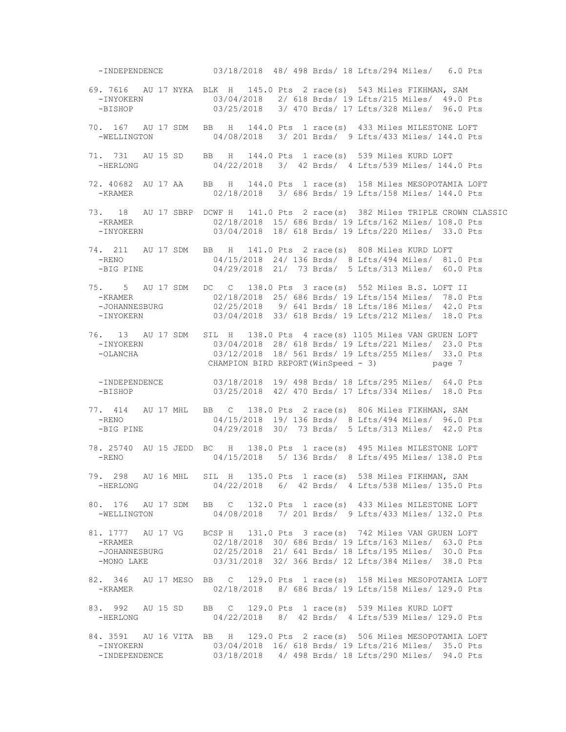-INDEPENDENCE 03/18/2018 48/ 498 Brds/ 18 Lfts/294 Miles/ 6.0 Pts 69. 7616 AU 17 NYKA BLK H 145.0 Pts 2 race(s) 543 Miles FIKHMAN, SAM -INYOKERN 03/04/2018 2/ 618 Brds/ 19 Lfts/215 Miles/ 49.0 Pts -BISHOP 03/25/2018 3/ 470 Brds/ 17 Lfts/328 Miles/ 96.0 Pts 70. 167 AU 17 SDM BB H 144.0 Pts 1 race(s) 433 Miles MILESTONE LOFT -WELLINGTON 04/08/2018 3/ 201 Brds/ 9 Lfts/433 Miles/ 144.0 Pts 71. 731 AU 15 SD BB H 144.0 Pts 1 race(s) 539 Miles KURD LOFT -HERLONG 04/22/2018 3/ 42 Brds/ 4 Lfts/539 Miles/ 144.0 Pts 72. 40682 AU 17 AA BB H 144.0 Pts 1 race(s) 158 Miles MESOPOTAMIA LOFT -KRAMER 02/18/2018 3/ 686 Brds/ 19 Lfts/158 Miles/ 144.0 Pts 73. 18 AU 17 SBRP DCWF H 141.0 Pts 2 race(s) 382 Miles TRIPLE CROWN CLASSIC -KRAMER 02/18/2018 15/ 686 Brds/ 19 Lfts/162 Miles/ 108.0 Pts -INYOKERN 03/04/2018 18/ 618 Brds/ 19 Lfts/220 Miles/ 33.0 Pts 74. 211 AU 17 SDM BB H 141.0 Pts 2 race(s) 808 Miles KURD LOFT -RENO 04/15/2018 24/ 136 Brds/ 8 Lfts/494 Miles/ 81.0 Pts<br>-BIG PINE 04/29/2018 21/ 73 Brds/ 5 Lfts/313 Miles/ 60.0 Pts 04/29/2018 21/ 73 Brds/ 5 Lfts/313 Miles/ 60.0 Pts 75. 5 AU 17 SDM DC C 138.0 Pts 3 race(s) 552 Miles B.S. LOFT II -KRAMER 02/18/2018 25/ 686 Brds/ 19 Lfts/154 Miles/ 78.0 Pts -JOHANNESBURG 02/25/2018 9/ 641 Brds/ 18 Lfts/186 Miles/ 42.0 Pts -INYOKERN 03/04/2018 33/ 618 Brds/ 19 Lfts/212 Miles/ 18.0 Pts 76. 13 AU 17 SDM SIL H 138.0 Pts 4 race(s) 1105 Miles VAN GRUEN LOFT -INYOKERN 03/04/2018 28/ 618 Brds/ 19 Lfts/221 Miles/ 23.0 Pts -OLANCHA 03/12/2018 18/ 561 Brds/ 19 Lfts/255 Miles/ 33.0 Pts CHAMPION BIRD REPORT(WinSpeed - 3) page 7 -INDEPENDENCE 03/18/2018 19/ 498 Brds/ 18 Lfts/295 Miles/ 64.0 Pts<br>-BISHOP 03/25/2018 42/ 470 Brds/ 17 Lfts/334 Miles/ 18.0 Pts 03/25/2018 42/ 470 Brds/ 17 Lfts/334 Miles/ 18.0 Pts 77. 414 AU 17 MHL BB C 138.0 Pts 2 race(s) 806 Miles FIKHMAN, SAM -RENO 04/15/2018 19/ 136 Brds/ 8 Lfts/494 Miles/ 96.0 Pts -BIG PINE 04/29/2018 30/ 73 Brds/ 5 Lfts/313 Miles/ 42.0 Pts 78. 25740 AU 15 JEDD BC H 138.0 Pts 1 race(s) 495 Miles MILESTONE LOFT -RENO 04/15/2018 5/ 136 Brds/ 8 Lfts/495 Miles/ 138.0 Pts 79. 298 AU 16 MHL SIL H 135.0 Pts 1 race(s) 538 Miles FIKHMAN, SAM 04/22/2018 6/ 42 Brds/ 4 Lfts/538 Miles/ 135.0 Pts 80. 176 AU 17 SDM BB C 132.0 Pts 1 race(s) 433 Miles MILESTONE LOFT -WELLINGTON 04/08/2018 7/ 201 Brds/ 9 Lfts/433 Miles/ 132.0 Pts 81. 1777 AU 17 VG BCSP H 131.0 Pts 3 race(s) 742 Miles VAN GRUEN LOFT -KRAMER 02/18/2018 30/ 686 Brds/ 19 Lfts/163 Miles/ 63.0 Pts -JOHANNESBURG 02/25/2018 21/ 641 Brds/ 18 Lfts/195 Miles/ 30.0 Pts -MONO LAKE 03/31/2018 32/ 366 Brds/ 12 Lfts/384 Miles/ 38.0 Pts 82. 346 AU 17 MESO BB C 129.0 Pts 1 race(s) 158 Miles MESOPOTAMIA LOFT -KRAMER 02/18/2018 8/ 686 Brds/ 19 Lfts/158 Miles/ 129.0 Pts 83. 992 AU 15 SD BB C 129.0 Pts 1 race(s) 539 Miles KURD LOFT -HERLONG 04/22/2018 8/ 42 Brds/ 4 Lfts/539 Miles/ 129.0 Pts 84. 3591 AU 16 VITA BB H 129.0 Pts 2 race(s) 506 Miles MESOPOTAMIA LOFT -INYOKERN 03/04/2018 16/ 618 Brds/ 19 Lfts/216 Miles/ 35.0 Pts 03/18/2018 4/ 498 Brds/ 18 Lfts/290 Miles/ 94.0 Pts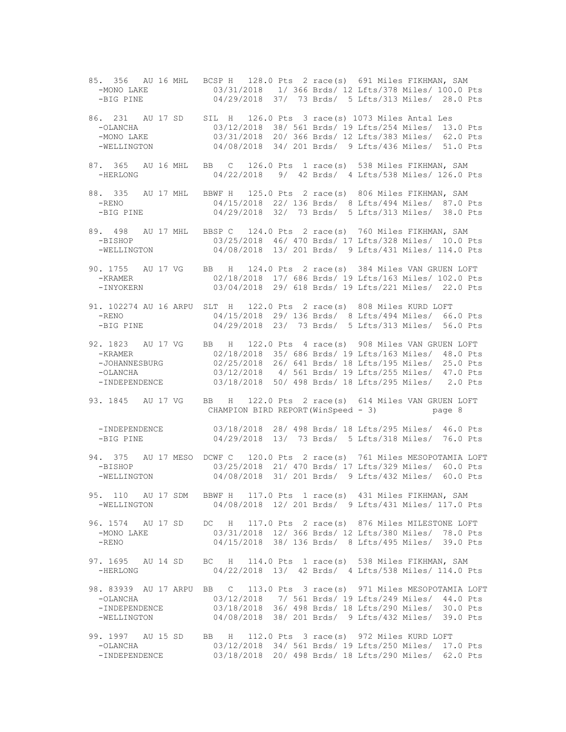85. 356 AU 16 MHL BCSP H 128.0 Pts 2 race(s) 691 Miles FIKHMAN, SAM 03/31/2018 1/ 366 Brds/ 12 Lfts/378 Miles/ 100.0 Pts -BIG PINE 04/29/2018 37/ 73 Brds/ 5 Lfts/313 Miles/ 28.0 Pts 86. 231 AU 17 SD SIL H 126.0 Pts 3 race(s) 1073 Miles Antal Les -OLANCHA 03/12/2018 38/ 561 Brds/ 19 Lfts/254 Miles/ 13.0 Pts -MONO LAKE 03/31/2018 20/ 366 Brds/ 12 Lfts/383 Miles/ 62.0 Pts -WELLINGTON 04/08/2018 34/ 201 Brds/ 9 Lfts/436 Miles/ 51.0 Pts 87. 365 AU 16 MHL BB C 126.0 Pts 1 race(s) 538 Miles FIKHMAN, SAM -HERLONG 04/22/2018 9/ 42 Brds/ 4 Lfts/538 Miles/ 126.0 Pts 88. 335 AU 17 MHL BBWF H 125.0 Pts 2 race(s) 806 Miles FIKHMAN, SAM 04/15/2018 22/ 136 Brds/ 8 Lfts/494 Miles/ 87.0 Pts -BIG PINE 04/29/2018 32/ 73 Brds/ 5 Lfts/313 Miles/ 38.0 Pts 89. 498 AU 17 MHL BBSP C 124.0 Pts 2 race(s) 760 Miles FIKHMAN, SAM -BISHOP 03/25/2018 46/ 470 Brds/ 17 Lfts/328 Miles/ 10.0 Pts -WELLINGTON 04/08/2018 13/ 201 Brds/ 9 Lfts/431 Miles/ 114.0 Pts 90. 1755 AU 17 VG BB H 124.0 Pts 2 race(s) 384 Miles VAN GRUEN LOFT -KRAMER 02/18/2018 17/ 686 Brds/ 19 Lfts/163 Miles/ 102.0 Pts -INYOKERN 03/04/2018 29/ 618 Brds/ 19 Lfts/221 Miles/ 22.0 Pts 91. 102274 AU 16 ARPU SLT H 122.0 Pts 2 race(s) 808 Miles KURD LOFT -RENO 04/15/2018 29/ 136 Brds/ 8 Lfts/494 Miles/ 66.0 Pts -BIG PINE 04/29/2018 23/ 73 Brds/ 5 Lfts/313 Miles/ 56.0 Pts 92. 1823 AU 17 VG BB H 122.0 Pts 4 race(s) 908 Miles VAN GRUEN LOFT -KRAMER 02/18/2018 35/ 686 Brds/ 19 Lfts/163 Miles/ 48.0 Pts -JOHANNESBURG 02/25/2018 26/ 641 Brds/ 18 Lfts/195 Miles/ 25.0 Pts -OLANCHA 03/12/2018 4/ 561 Brds/ 19 Lfts/255 Miles/ 47.0 Pts 03/18/2018 50/ 498 Brds/ 18 Lfts/295 Miles/ 2.0 Pts 93. 1845 AU 17 VG BB H 122.0 Pts 2 race(s) 614 Miles VAN GRUEN LOFT CHAMPION BIRD REPORT(WinSpeed - 3) page 8 -INDEPENDENCE 03/18/2018 28/ 498 Brds/ 18 Lfts/295 Miles/ 46.0 Pts -BIG PINE 04/29/2018 13/ 73 Brds/ 5 Lfts/318 Miles/ 76.0 Pts 94. 375 AU 17 MESO DCWF C 120.0 Pts 2 race(s) 761 Miles MESOPOTAMIA LOFT 03/25/2018 21/ 470 Brds/ 17 Lfts/329 Miles/ 60.0 Pts -WELLINGTON 04/08/2018 31/ 201 Brds/ 9 Lfts/432 Miles/ 60.0 Pts 95. 110 AU 17 SDM BBWF H 117.0 Pts 1 race(s) 431 Miles FIKHMAN, SAM -WELLINGTON 04/08/2018 12/ 201 Brds/ 9 Lfts/431 Miles/ 117.0 Pts 96. 1574 AU 17 SD DC H 117.0 Pts 2 race(s) 876 Miles MILESTONE LOFT 03/31/2018 12/ 366 Brds/ 12 Lfts/380 Miles/ 78.0 Pts -RENO 04/15/2018 38/ 136 Brds/ 8 Lfts/495 Miles/ 39.0 Pts 97. 1695 AU 14 SD BC H 114.0 Pts 1 race(s) 538 Miles FIKHMAN, SAM -HERLONG 04/22/2018 13/ 42 Brds/ 4 Lfts/538 Miles/ 114.0 Pts 98. 83939 AU 17 ARPU BB C 113.0 Pts 3 race(s) 971 Miles MESOPOTAMIA LOFT -OLANCHA 03/12/2018 7/ 561 Brds/ 19 Lfts/249 Miles/ 44.0 Pts -INDEPENDENCE 03/18/2018 36/ 498 Brds/ 18 Lfts/290 Miles/ 30.0 Pts -WELLINGTON 04/08/2018 38/ 201 Brds/ 9 Lfts/432 Miles/ 39.0 Pts 99. 1997 AU 15 SD BB H 112.0 Pts 3 race(s) 972 Miles KURD LOFT -OLANCHA 03/12/2018 34/ 561 Brds/ 19 Lfts/250 Miles/ 17.0 Pts -INDEPENDENCE 03/18/2018 20/ 498 Brds/ 18 Lfts/290 Miles/ 62.0 Pts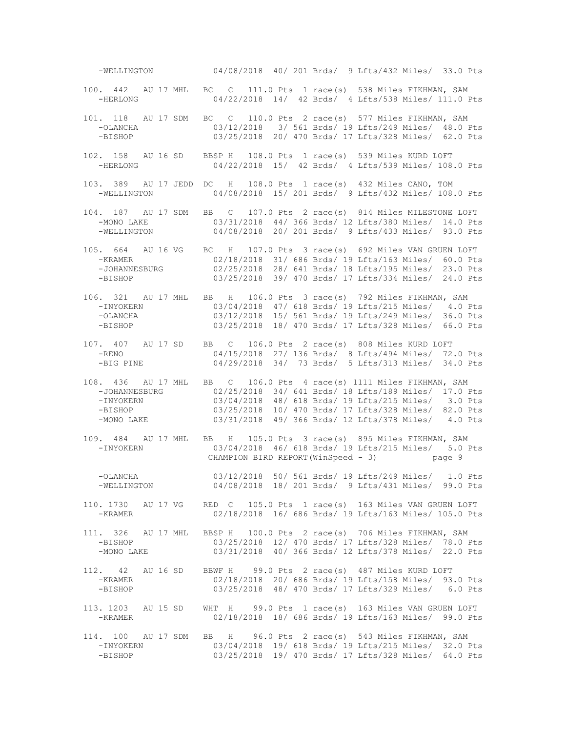-WELLINGTON 04/08/2018 40/ 201 Brds/ 9 Lfts/432 Miles/ 33.0 Pts 100. 442 AU 17 MHL BC C 111.0 Pts 1 race(s) 538 Miles FIKHMAN, SAM -HERLONG 04/22/2018 14/ 42 Brds/ 4 Lfts/538 Miles/ 111.0 Pts 101. 118 AU 17 SDM BC C 110.0 Pts 2 race(s) 577 Miles FIKHMAN, SAM -OLANCHA 03/12/2018 3/ 561 Brds/ 19 Lfts/249 Miles/ 48.0 Pts -BISHOP 03/25/2018 20/ 470 Brds/ 17 Lfts/328 Miles/ 62.0 Pts 102. 158 AU 16 SD BBSP H 108.0 Pts 1 race(s) 539 Miles KURD LOFT -HERLONG 04/22/2018 15/ 42 Brds/ 4 Lfts/539 Miles/ 108.0 Pts 103. 389 AU 17 JEDD DC H 108.0 Pts 1 race(s) 432 Miles CANO, TOM -WELLINGTON 04/08/2018 15/ 201 Brds/ 9 Lfts/432 Miles/ 108.0 Pts 104. 187 AU 17 SDM BB C 107.0 Pts 2 race(s) 814 Miles MILESTONE LOFT -MONO LAKE 03/31/2018 44/ 366 Brds/ 12 Lfts/380 Miles/ 14.0 Pts -WELLINGTON 04/08/2018 20/ 201 Brds/ 9 Lfts/433 Miles/ 93.0 Pts 105. 664 AU 16 VG BC H 107.0 Pts 3 race(s) 692 Miles VAN GRUEN LOFT -KRAMER 02/18/2018 31/ 686 Brds/ 19 Lfts/163 Miles/ 60.0 Pts<br>-JOHANNESBURG 02/25/2018 28/ 641 Brds/ 18 Lfts/195 Miles/ 23.0 Pts -JOHANNESBURG 02/25/2018 28/ 641 Brds/ 18 Lfts/195 Miles/ 23.0 Pts -BISHOP 03/25/2018 39/ 470 Brds/ 17 Lfts/334 Miles/ 24.0 Pts 106. 321 AU 17 MHL BB H 106.0 Pts 3 race(s) 792 Miles FIKHMAN, SAM -INYOKERN 03/04/2018 47/ 618 Brds/ 19 Lfts/215 Miles/ 4.0 Pts -OLANCHA 03/12/2018 15/ 561 Brds/ 19 Lfts/249 Miles/ 36.0 Pts -BISHOP 03/25/2018 18/ 470 Brds/ 17 Lfts/328 Miles/ 66.0 Pts 107. 407 AU 17 SD BB C 106.0 Pts 2 race(s) 808 Miles KURD LOFT -RENO 04/15/2018 27/ 136 Brds/ 8 Lfts/494 Miles/ 72.0 Pts -BIG PINE 04/29/2018 34/ 73 Brds/ 5 Lfts/313 Miles/ 34.0 Pts 108. 436 AU 17 MHL BB C 106.0 Pts 4 race(s) 1111 Miles FIKHMAN, SAM -JOHANNESBURG 02/25/2018 34/ 641 Brds/ 18 Lfts/189 Miles/ 17.0 Pts<br>-INYOKERN 03/04/2018 48/ 618 Brds/ 19 Lfts/215 Miles/ 3.0 Pts -INYOKERN 03/04/2018 48/ 618 Brds/ 19 Lfts/215 Miles/ 3.0 Pts -BISHOP 03/25/2018 10/ 470 Brds/ 17 Lfts/328 Miles/ 82.0 Pts -MONO LAKE 03/31/2018 49/ 366 Brds/ 12 Lfts/378 Miles/ 4.0 Pts 109. 484 AU 17 MHL BB H 105.0 Pts 3 race(s) 895 Miles FIKHMAN, SAM -INYOKERN 03/04/2018 46/ 618 Brds/ 19 Lfts/215 Miles/ 5.0 Pts CHAMPION BIRD REPORT (WinSpeed - 3) page 9 -OLANCHA 03/12/2018 50/ 561 Brds/ 19 Lfts/249 Miles/ 1.0 Pts -WELLINGTON 04/08/2018 18/ 201 Brds/ 9 Lfts/431 Miles/ 99.0 Pts 110. 1730 AU 17 VG RED C 105.0 Pts 1 race(s) 163 Miles VAN GRUEN LOFT -KRAMER 02/18/2018 16/ 686 Brds/ 19 Lfts/163 Miles/ 105.0 Pts 111. 326 AU 17 MHL BBSP H 100.0 Pts 2 race(s) 706 Miles FIKHMAN, SAM -BISHOP 03/25/2018 12/ 470 Brds/ 17 Lfts/328 Miles/ 78.0 Pts -MONO LAKE 03/31/2018 40/ 366 Brds/ 12 Lfts/378 Miles/ 22.0 Pts 112. 42 AU 16 SD BBWF H 99.0 Pts 2 race(s) 487 Miles KURD LOFT -KRAMER 02/18/2018 20/ 686 Brds/ 19 Lfts/158 Miles/ 93.0 Pts -BISHOP 03/25/2018 48/ 470 Brds/ 17 Lfts/329 Miles/ 6.0 Pts 113. 1203 AU 15 SD WHT H 99.0 Pts 1 race(s) 163 Miles VAN GRUEN LOFT -KRAMER 02/18/2018 18/ 686 Brds/ 19 Lfts/163 Miles/ 99.0 Pts 114. 100 AU 17 SDM BB H 96.0 Pts 2 race(s) 543 Miles FIKHMAN, SAM -INYOKERN 03/04/2018 19/ 618 Brds/ 19 Lfts/215 Miles/ 32.0 Pts 03/25/2018 19/ 470 Brds/ 17 Lfts/328 Miles/ 64.0 Pts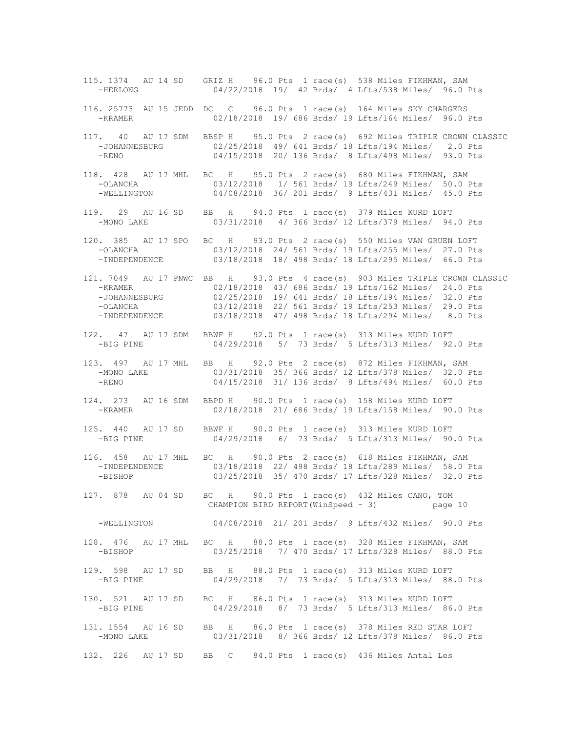115. 1374 AU 14 SD GRIZ H 96.0 Pts 1 race(s) 538 Miles FIKHMAN, SAM -HERLONG 04/22/2018 19/ 42 Brds/ 4 Lfts/538 Miles/ 96.0 Pts 116. 25773 AU 15 JEDD DC C 96.0 Pts 1 race(s) 164 Miles SKY CHARGERS -KRAMER 02/18/2018 19/ 686 Brds/ 19 Lfts/164 Miles/ 96.0 Pts 117. 40 AU 17 SDM BBSP H 95.0 Pts 2 race(s) 692 Miles TRIPLE CROWN CLASSIC -JOHANNESBURG 02/25/2018 49/ 641 Brds/ 18 Lfts/194 Miles/ 2.0 Pts -RENO 04/15/2018 20/ 136 Brds/ 8 Lfts/498 Miles/ 93.0 Pts 118. 428 AU 17 MHL BC H 95.0 Pts 2 race(s) 680 Miles FIKHMAN, SAM -OLANCHA 03/12/2018 1/ 561 Brds/ 19 Lfts/249 Miles/ 50.0 Pts -WELLINGTON 04/08/2018 36/ 201 Brds/ 9 Lfts/431 Miles/ 45.0 Pts 119. 29 AU 16 SD BB H 94.0 Pts 1 race(s) 379 Miles KURD LOFT -MONO LAKE 03/31/2018 4/ 366 Brds/ 12 Lfts/379 Miles/ 94.0 Pts 120. 385 AU 17 SPO BC H 93.0 Pts 2 race(s) 550 Miles VAN GRUEN LOFT -OLANCHA 03/12/2018 24/ 561 Brds/ 19 Lfts/255 Miles/ 27.0 Pts 03/18/2018 18/ 498 Brds/ 18 Lfts/295 Miles/ 66.0 Pts 121. 7049 AU 17 PNWC BB H 93.0 Pts 4 race(s) 903 Miles TRIPLE CROWN CLASSIC -KRAMER 02/18/2018 43/ 686 Brds/ 19 Lfts/162 Miles/ 24.0 Pts -JOHANNESBURG 02/25/2018 19/ 641 Brds/ 18 Lfts/194 Miles/ 32.0 Pts -OLANCHA 03/12/2018 22/ 561 Brds/ 19 Lfts/253 Miles/ 29.0 Pts -INDEPENDENCE 03/18/2018 47/ 498 Brds/ 18 Lfts/294 Miles/ 8.0 Pts 122. 47 AU 17 SDM BBWF H 92.0 Pts 1 race(s) 313 Miles KURD LOFT -BIG PINE 04/29/2018 5/ 73 Brds/ 5 Lfts/313 Miles/ 92.0 Pts 123. 497 AU 17 MHL BB H 92.0 Pts 2 race(s) 872 Miles FIKHMAN, SAM -MONO LAKE 03/31/2018 35/ 366 Brds/ 12 Lfts/378 Miles/ 32.0 Pts<br>-RENO 04/15/2018 31/ 136 Brds/ 8 Lfts/494 Miles/ 60.0 Pts 04/15/2018 31/ 136 Brds/ 8 Lfts/494 Miles/ 60.0 Pts 124. 273 AU 16 SDM BBPD H 90.0 Pts 1 race(s) 158 Miles KURD LOFT<br>-KRAMER 02/18/2018 21/ 686 Brds/ 19 Lfts/158 Miles/ 90 02/18/2018 21/ 686 Brds/ 19 Lfts/158 Miles/ 90.0 Pts 125. 440 AU 17 SD BBWF H 90.0 Pts 1 race(s) 313 Miles KURD LOFT -BIG PINE 04/29/2018 6/ 73 Brds/ 5 Lfts/313 Miles/ 90.0 Pts 126. 458 AU 17 MHL BC H 90.0 Pts 2 race(s) 618 Miles FIKHMAN, SAM 03/18/2018 22/ 498 Brds/ 18 Lfts/289 Miles/ 58.0 Pts -BISHOP 03/25/2018 35/ 470 Brds/ 17 Lfts/328 Miles/ 32.0 Pts 127. 878 AU 04 SD BC H 90.0 Pts 1 race(s) 432 Miles CANO, TOM CHAMPION BIRD REPORT(WinSpeed - 3) page 10 -WELLINGTON 04/08/2018 21/ 201 Brds/ 9 Lfts/432 Miles/ 90.0 Pts 128. 476 AU 17 MHL BC H 88.0 Pts 1 race(s) 328 Miles FIKHMAN, SAM -BISHOP 03/25/2018 7/ 470 Brds/ 17 Lfts/328 Miles/ 88.0 Pts 129. 598 AU 17 SD BB H 88.0 Pts 1 race(s) 313 Miles KURD LOFT -BIG PINE 04/29/2018 7/ 73 Brds/ 5 Lfts/313 Miles/ 88.0 Pts 130. 521 AU 17 SD BC H 86.0 Pts 1 race(s) 313 Miles KURD LOFT -BIG PINE 04/29/2018 8/ 73 Brds/ 5 Lfts/313 Miles/ 86.0 Pts 131. 1554 AU 16 SD BB H 86.0 Pts 1 race(s) 378 Miles RED STAR LOFT -MONO LAKE 03/31/2018 8/ 366 Brds/ 12 Lfts/378 Miles/ 86.0 Pts 132. 226 AU 17 SD BB C 84.0 Pts 1 race(s) 436 Miles Antal Les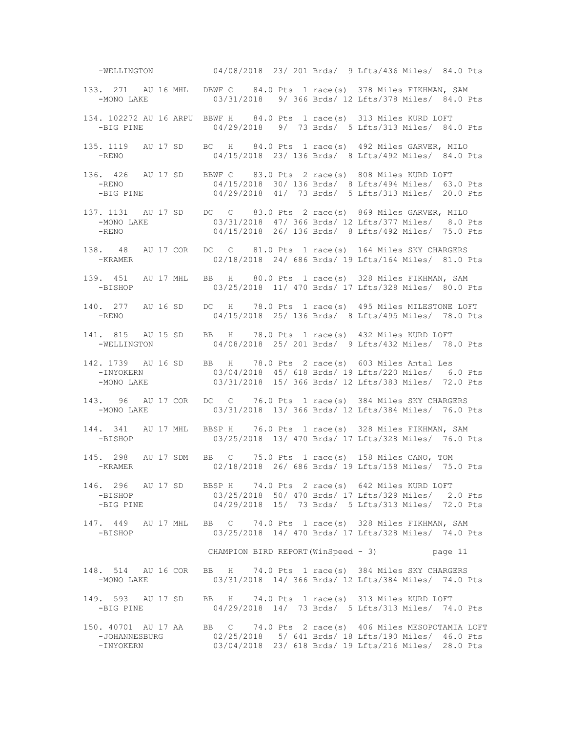-WELLINGTON 04/08/2018 23/ 201 Brds/ 9 Lfts/436 Miles/ 84.0 Pts 133. 271 AU 16 MHL DBWF C 84.0 Pts 1 race(s) 378 Miles FIKHMAN, SAM -MONO LAKE 03/31/2018 9/ 366 Brds/ 12 Lfts/378 Miles/ 84.0 Pts 134. 102272 AU 16 ARPU BBWF H 84.0 Pts 1 race(s) 313 Miles KURD LOFT -BIG PINE 04/29/2018 9/ 73 Brds/ 5 Lfts/313 Miles/ 84.0 Pts 135. 1119 AU 17 SD BC H 84.0 Pts 1 race(s) 492 Miles GARVER, MILO -RENO 04/15/2018 23/ 136 Brds/ 8 Lfts/492 Miles/ 84.0 Pts 136. 426 AU 17 SD BBWF C 83.0 Pts 2 race(s) 808 Miles KURD LOFT -RENO 04/15/2018 30/ 136 Brds/ 8 Lfts/494 Miles/ 63.0 Pts -BIG PINE 04/29/2018 41/ 73 Brds/ 5 Lfts/313 Miles/ 20.0 Pts 137. 1131 AU 17 SD DC C 83.0 Pts 2 race(s) 869 Miles GARVER, MILO -MONO LAKE 03/31/2018 47/ 366 Brds/ 12 Lfts/377 Miles/ 8.0 Pts -RENO 04/15/2018 26/ 136 Brds/ 8 Lfts/492 Miles/ 75.0 Pts 138. 48 AU 17 COR DC C 81.0 Pts 1 race(s) 164 Miles SKY CHARGERS 02/18/2018 24/ 686 Brds/ 19 Lfts/164 Miles/ 81.0 Pts 139. 451 AU 17 MHL BB H 80.0 Pts 1 race(s) 328 Miles FIKHMAN, SAM -BISHOP 03/25/2018 11/ 470 Brds/ 17 Lfts/328 Miles/ 80.0 Pts 140. 277 AU 16 SD DC H 78.0 Pts 1 race(s) 495 Miles MILESTONE LOFT -RENO 04/15/2018 25/ 136 Brds/ 8 Lfts/495 Miles/ 78.0 Pts 141. 815 AU 15 SD BB H 78.0 Pts 1 race(s) 432 Miles KURD LOFT -WELLINGTON 04/08/2018 25/ 201 Brds/ 9 Lfts/432 Miles/ 78.0 Pts 142. 1739 AU 16 SD BB H 78.0 Pts 2 race(s) 603 Miles Antal Les -INYOKERN 03/04/2018 45/ 618 Brds/ 19 Lfts/220 Miles/ 6.0 Pts 03/31/2018 15/ 366 Brds/ 12 Lfts/383 Miles/ 72.0 Pts 143. 96 AU 17 COR DC C 76.0 Pts 1 race(s) 384 Miles SKY CHARGERS 03/31/2018 13/ 366 Brds/ 12 Lfts/384 Miles/ 76.0 Pts 144. 341 AU 17 MHL BBSP H 76.0 Pts 1 race(s) 328 Miles FIKHMAN, SAM -BISHOP 03/25/2018 13/ 470 Brds/ 17 Lfts/328 Miles/ 76.0 Pts 145. 298 AU 17 SDM BB C 75.0 Pts 1 race(s) 158 Miles CANO, TOM -KRAMER 02/18/2018 26/ 686 Brds/ 19 Lfts/158 Miles/ 75.0 Pts 146. 296 AU 17 SD BBSP H 74.0 Pts 2 race(s) 642 Miles KURD LOFT -BISHOP 03/25/2018 50/ 470 Brds/ 17 Lfts/329 Miles/ 2.0 Pts -BIG PINE 04/29/2018 15/ 73 Brds/ 5 Lfts/313 Miles/ 72.0 Pts 147. 449 AU 17 MHL BB C 74.0 Pts 1 race(s) 328 Miles FIKHMAN, SAM 03/25/2018 14/ 470 Brds/ 17 Lfts/328 Miles/ 74.0 Pts CHAMPION BIRD REPORT(WinSpeed - 3) page 11 148. 514 AU 16 COR BB H 74.0 Pts 1 race(s) 384 Miles SKY CHARGERS -MONO LAKE 03/31/2018 14/ 366 Brds/ 12 Lfts/384 Miles/ 74.0 Pts 149. 593 AU 17 SD BB H 74.0 Pts 1 race(s) 313 Miles KURD LOFT -BIG PINE 04/29/2018 14/ 73 Brds/ 5 Lfts/313 Miles/ 74.0 Pts 150. 40701 AU 17 AA BB C 74.0 Pts 2 race(s) 406 Miles MESOPOTAMIA LOFT -JOHANNESBURG 02/25/2018 5/ 641 Brds/ 18 Lfts/190 Miles/ 46.0 Pts 03/04/2018 23/ 618 Brds/ 19 Lfts/216 Miles/ 28.0 Pts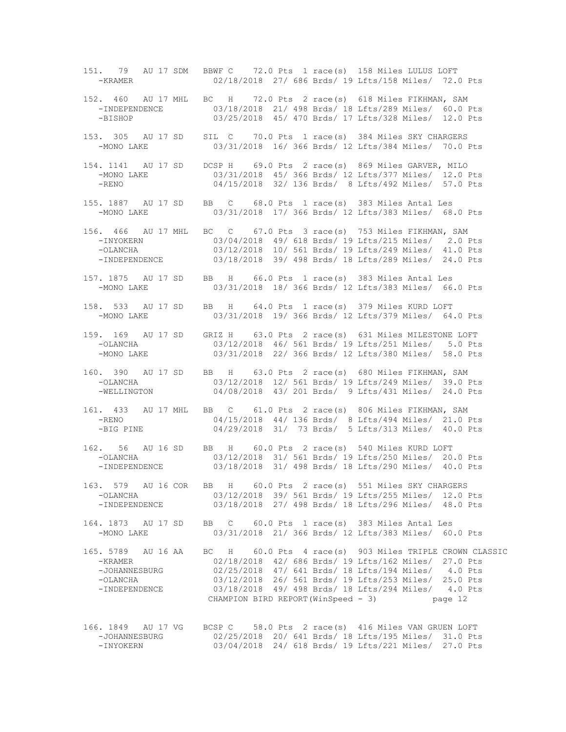151. 79 AU 17 SDM BBWF C 72.0 Pts 1 race(s) 158 Miles LULUS LOFT -KRAMER 02/18/2018 27/ 686 Brds/ 19 Lfts/158 Miles/ 72.0 Pts 152. 460 AU 17 MHL BC H 72.0 Pts 2 race(s) 618 Miles FIKHMAN, SAM -INDEPENDENCE 03/18/2018 21/ 498 Brds/ 18 Lfts/289 Miles/ 60.0 Pts -BISHOP 03/25/2018 45/ 470 Brds/ 17 Lfts/328 Miles/ 12.0 Pts 153. 305 AU 17 SD SIL C 70.0 Pts 1 race(s) 384 Miles SKY CHARGERS -MONO LAKE 03/31/2018 16/ 366 Brds/ 12 Lfts/384 Miles/ 70.0 Pts 154. 1141 AU 17 SD DCSP H 69.0 Pts 2 race(s) 869 Miles GARVER, MILO -MONO LAKE 03/31/2018 45/ 366 Brds/ 12 Lfts/377 Miles/ 12.0 Pts<br>-RENO 04/15/2018 32/ 136 Brds/ 8 Lfts/492 Miles/ 57.0 Pts 04/15/2018 32/ 136 Brds/ 8 Lfts/492 Miles/ 57.0 Pts 155. 1887 AU 17 SD BB C 68.0 Pts 1 race(s) 383 Miles Antal Les -MONO LAKE 03/31/2018 17/ 366 Brds/ 12 Lfts/383 Miles/ 68.0 Pts 156. 466 AU 17 MHL BC C 67.0 Pts 3 race(s) 753 Miles FIKHMAN, SAM -INYOKERN 03/04/2018 49/ 618 Brds/ 19 Lfts/215 Miles/ 2.0 Pts -OLANCHA 03/12/2018 10/ 561 Brds/ 19 Lfts/249 Miles/ 41.0 Pts -INDEPENDENCE 03/18/2018 39/ 498 Brds/ 18 Lfts/289 Miles/ 24.0 Pts 157. 1875 AU 17 SD BB H 66.0 Pts 1 race(s) 383 Miles Antal Les -MONO LAKE 03/31/2018 18/ 366 Brds/ 12 Lfts/383 Miles/ 66.0 Pts 158. 533 AU 17 SD BB H 64.0 Pts 1 race(s) 379 Miles KURD LOFT -MONO LAKE 03/31/2018 19/ 366 Brds/ 12 Lfts/379 Miles/ 64.0 Pts 159. 169 AU 17 SD GRIZ H 63.0 Pts 2 race(s) 631 Miles MILESTONE LOFT -OLANCHA 03/12/2018 46/ 561 Brds/ 19 Lfts/251 Miles/ 5.0 Pts -MONO LAKE 03/31/2018 22/ 366 Brds/ 12 Lfts/380 Miles/ 58.0 Pts 160. 390 AU 17 SD BB H 63.0 Pts 2 race(s) 680 Miles FIKHMAN, SAM -OLANCHA 03/12/2018 12/ 561 Brds/ 19 Lfts/249 Miles/ 39.0 Pts 04/08/2018 43/ 201 Brds/ 9 Lfts/431 Miles/ 24.0 Pts 161. 433 AU 17 MHL BB C 61.0 Pts 2 race(s) 806 Miles FIKHMAN, SAM -RENO 04/15/2018 44/ 136 Brds/ 8 Lfts/494 Miles/ 21.0 Pts -BIG PINE 04/29/2018 31/ 73 Brds/ 5 Lfts/313 Miles/ 40.0 Pts 162. 56 AU 16 SD BB H 60.0 Pts 2 race(s) 540 Miles KURD LOFT -OLANCHA 03/12/2018 31/ 561 Brds/ 19 Lfts/250 Miles/ 20.0 Pts 03/18/2018 31/ 498 Brds/ 18 Lfts/290 Miles/ 40.0 Pts 163. 579 AU 16 COR BB H 60.0 Pts 2 race(s) 551 Miles SKY CHARGERS -OLANCHA 03/12/2018 39/ 561 Brds/ 19 Lfts/255 Miles/ 12.0 Pts -INDEPENDENCE 03/18/2018 27/ 498 Brds/ 18 Lfts/296 Miles/ 48.0 Pts 164. 1873 AU 17 SD BB C 60.0 Pts 1 race(s) 383 Miles Antal Les 03/31/2018 21/ 366 Brds/ 12 Lfts/383 Miles/ 60.0 Pts 165. 5789 AU 16 AA BC H 60.0 Pts 4 race(s) 903 Miles TRIPLE CROWN CLASSIC -KRAMER 02/18/2018 42/ 686 Brds/ 19 Lfts/162 Miles/ 27.0 Pts -JOHANNESBURG 02/25/2018 47/ 641 Brds/ 18 Lfts/194 Miles/ 4.0 Pts -OLANCHA 03/12/2018 26/ 561 Brds/ 19 Lfts/253 Miles/ 25.0 Pts 03/18/2018 49/ 498 Brds/ 18 Lfts/294 Miles/ 4.0 Pts CHAMPION BIRD REPORT(WinSpeed - 3) page 12 166. 1849 AU 17 VG BCSP C 58.0 Pts 2 race(s) 416 Miles VAN GRUEN LOFT

 -JOHANNESBURG 02/25/2018 20/ 641 Brds/ 18 Lfts/195 Miles/ 31.0 Pts 03/04/2018 24/ 618 Brds/ 19 Lfts/221 Miles/ 27.0 Pts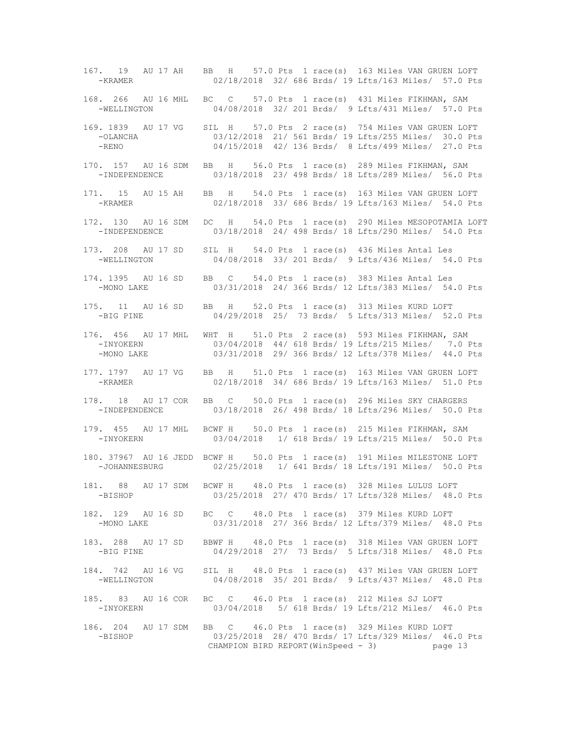167. 19 AU 17 AH BB H 57.0 Pts 1 race(s) 163 Miles VAN GRUEN LOFT -KRAMER 02/18/2018 32/ 686 Brds/ 19 Lfts/163 Miles/ 57.0 Pts 168. 266 AU 16 MHL BC C 57.0 Pts 1 race(s) 431 Miles FIKHMAN, SAM -WELLINGTON 04/08/2018 32/ 201 Brds/ 9 Lfts/431 Miles/ 57.0 Pts 169. 1839 AU 17 VG SIL H 57.0 Pts 2 race(s) 754 Miles VAN GRUEN LOFT -OLANCHA 03/12/2018 21/ 561 Brds/ 19 Lfts/255 Miles/ 30.0 Pts -RENO 04/15/2018 42/ 136 Brds/ 8 Lfts/499 Miles/ 27.0 Pts 170. 157 AU 16 SDM BB H 56.0 Pts 1 race(s) 289 Miles FIKHMAN, SAM -INDEPENDENCE 03/18/2018 23/ 498 Brds/ 18 Lfts/289 Miles/ 56.0 Pts 171. 15 AU 15 AH BB H 54.0 Pts 1 race(s) 163 Miles VAN GRUEN LOFT -KRAMER 02/18/2018 33/ 686 Brds/ 19 Lfts/163 Miles/ 54.0 Pts 172. 130 AU 16 SDM DC H 54.0 Pts 1 race(s) 290 Miles MESOPOTAMIA LOFT -INDEPENDENCE 03/18/2018 24/ 498 Brds/ 18 Lfts/290 Miles/ 54.0 Pts 173. 208 AU 17 SD SIL H 54.0 Pts 1 race(s) 436 Miles Antal Les 04/08/2018 33/ 201 Brds/ 9 Lfts/436 Miles/ 54.0 Pts 174. 1395 AU 16 SD BB C 54.0 Pts 1 race(s) 383 Miles Antal Les -MONO LAKE 03/31/2018 24/ 366 Brds/ 12 Lfts/383 Miles/ 54.0 Pts 175. 11 AU 16 SD BB H 52.0 Pts 1 race(s) 313 Miles KURD LOFT<br>-BIG PINE 04/29/2018 25/ 73 Brds/ 5 Lfts/313 Miles/ 52 04/29/2018 25/ 73 Brds/ 5 Lfts/313 Miles/ 52.0 Pts 176. 456 AU 17 MHL WHT H 51.0 Pts 2 race(s) 593 Miles FIKHMAN, SAM -INYOKERN 03/04/2018 44/ 618 Brds/ 19 Lfts/215 Miles/ 7.0 Pts -MONO LAKE 03/31/2018 29/ 366 Brds/ 12 Lfts/378 Miles/ 44.0 Pts 177. 1797 AU 17 VG BB H 51.0 Pts 1 race(s) 163 Miles VAN GRUEN LOFT -KRAMER 02/18/2018 34/ 686 Brds/ 19 Lfts/163 Miles/ 51.0 Pts 178. 18 AU 17 COR BB C 50.0 Pts 1 race(s) 296 Miles SKY CHARGERS 03/18/2018 26/ 498 Brds/ 18 Lfts/296 Miles/ 50.0 Pts 179. 455 AU 17 MHL BCWF H 50.0 Pts 1 race(s) 215 Miles FIKHMAN, SAM -INYOKERN 03/04/2018 1/ 618 Brds/ 19 Lfts/215 Miles/ 50.0 Pts 180. 37967 AU 16 JEDD BCWF H 50.0 Pts 1 race(s) 191 Miles MILESTONE LOFT 02/25/2018 1/ 641 Brds/ 18 Lfts/191 Miles/ 50.0 Pts 181. 88 AU 17 SDM BCWF H 48.0 Pts 1 race(s) 328 Miles LULUS LOFT -BISHOP 03/25/2018 27/ 470 Brds/ 17 Lfts/328 Miles/ 48.0 Pts 182. 129 AU 16 SD BC C 48.0 Pts 1 race(s) 379 Miles KURD LOFT -MONO LAKE 03/31/2018 27/ 366 Brds/ 12 Lfts/379 Miles/ 48.0 Pts 183. 288 AU 17 SD BBWF H 48.0 Pts 1 race(s) 318 Miles VAN GRUEN LOFT -BIG PINE 04/29/2018 27/ 73 Brds/ 5 Lfts/318 Miles/ 48.0 Pts 184. 742 AU 16 VG SIL H 48.0 Pts 1 race(s) 437 Miles VAN GRUEN LOFT -WELLINGTON 04/08/2018 35/ 201 Brds/ 9 Lfts/437 Miles/ 48.0 Pts 185. 83 AU 16 COR BC C 46.0 Pts 1 race(s) 212 Miles SJ LOFT -INYOKERN 03/04/2018 5/ 618 Brds/ 19 Lfts/212 Miles/ 46.0 Pts 186. 204 AU 17 SDM BB C 46.0 Pts 1 race(s) 329 Miles KURD LOFT -BISHOP 03/25/2018 28/ 470 Brds/ 17 Lfts/329 Miles/ 46.0 Pts CHAMPION BIRD REPORT(WinSpeed - 3) page 13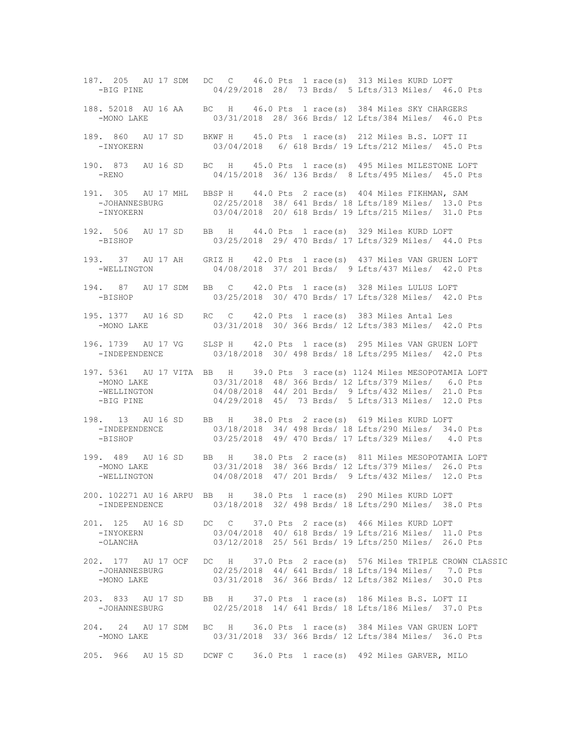187. 205 AU 17 SDM DC C 46.0 Pts 1 race(s) 313 Miles KURD LOFT -BIG PINE 04/29/2018 28/ 73 Brds/ 5 Lfts/313 Miles/ 46.0 Pts 188. 52018 AU 16 AA BC H 46.0 Pts 1 race(s) 384 Miles SKY CHARGERS -MONO LAKE 03/31/2018 28/ 366 Brds/ 12 Lfts/384 Miles/ 46.0 Pts 189. 860 AU 17 SD BKWF H 45.0 Pts 1 race(s) 212 Miles B.S. LOFT II -INYOKERN 03/04/2018 6/ 618 Brds/ 19 Lfts/212 Miles/ 45.0 Pts 190. 873 AU 16 SD BC H 45.0 Pts 1 race(s) 495 Miles MILESTONE LOFT -RENO 04/15/2018 36/ 136 Brds/ 8 Lfts/495 Miles/ 45.0 Pts 191. 305 AU 17 MHL BBSP H 44.0 Pts 2 race(s) 404 Miles FIKHMAN, SAM -JOHANNESBURG 02/25/2018 38/ 641 Brds/ 18 Lfts/189 Miles/ 13.0 Pts -INYOKERN 03/04/2018 20/ 618 Brds/ 19 Lfts/215 Miles/ 31.0 Pts 192. 506 AU 17 SD BB H 44.0 Pts 1 race(s) 329 Miles KURD LOFT -BISHOP 03/25/2018 29/ 470 Brds/ 17 Lfts/329 Miles/ 44.0 Pts 193. 37 AU 17 AH GRIZ H 42.0 Pts 1 race(s) 437 Miles VAN GRUEN LOFT 04/08/2018 37/ 201 Brds/ 9 Lfts/437 Miles/ 42.0 Pts 194. 87 AU 17 SDM BB C 42.0 Pts 1 race(s) 328 Miles LULUS LOFT -BISHOP 03/25/2018 30/ 470 Brds/ 17 Lfts/328 Miles/ 42.0 Pts 195. 1377 AU 16 SD RC C 42.0 Pts 1 race(s) 383 Miles Antal Les -MONO LAKE 03/31/2018 30/ 366 Brds/ 12 Lfts/383 Miles/ 42.0 Pts 196. 1739 AU 17 VG SLSP H 42.0 Pts 1 race(s) 295 Miles VAN GRUEN LOFT -INDEPENDENCE 03/18/2018 30/ 498 Brds/ 18 Lfts/295 Miles/ 42.0 Pts 197. 5361 AU 17 VITA BB H 39.0 Pts 3 race(s) 1124 Miles MESOPOTAMIA LOFT -MONO LAKE 03/31/2018 48/ 366 Brds/ 12 Lfts/379 Miles/ 6.0 Pts -WELLINGTON 04/08/2018 44/ 201 Brds/ 9 Lfts/432 Miles/ 21.0 Pts<br>-BIG PINE 04/29/2018 45/ 73 Brds/ 5 Lfts/313 Miles/ 12.0 Pts 04/29/2018 45/ 73 Brds/ 5 Lfts/313 Miles/ 12.0 Pts 198. 13 AU 16 SD BB H 38.0 Pts 2 race(s) 619 Miles KURD LOFT -INDEPENDENCE 03/18/2018 34/ 498 Brds/ 18 Lfts/290 Miles/ 34.0 Pts -BISHOP 03/25/2018 49/ 470 Brds/ 17 Lfts/329 Miles/ 4.0 Pts 199. 489 AU 16 SD BB H 38.0 Pts 2 race(s) 811 Miles MESOPOTAMIA LOFT 03/31/2018 38/ 366 Brds/ 12 Lfts/379 Miles/ 26.0 Pts -WELLINGTON 04/08/2018 47/ 201 Brds/ 9 Lfts/432 Miles/ 12.0 Pts 200. 102271 AU 16 ARPU BB H 38.0 Pts 1 race(s) 290 Miles KURD LOFT -INDEPENDENCE 03/18/2018 32/ 498 Brds/ 18 Lfts/290 Miles/ 38.0 Pts 201. 125 AU 16 SD DC C 37.0 Pts 2 race(s) 466 Miles KURD LOFT<br>-INYOKERN 03/04/2018 40/618 Brds/19 Lfts/216 Miles/ 11 03/04/2018 40/ 618 Brds/ 19 Lfts/216 Miles/ 11.0 Pts -OLANCHA 03/12/2018 25/ 561 Brds/ 19 Lfts/250 Miles/ 26.0 Pts 202. 177 AU 17 OCF DC H 37.0 Pts 2 race(s) 576 Miles TRIPLE CROWN CLASSIC -JOHANNESBURG 02/25/2018 44/ 641 Brds/ 18 Lfts/194 Miles/ 7.0 Pts -MONO LAKE 03/31/2018 36/ 366 Brds/ 12 Lfts/382 Miles/ 30.0 Pts 203. 833 AU 17 SD BB H 37.0 Pts 1 race(s) 186 Miles B.S. LOFT II -JOHANNESBURG 02/25/2018 14/ 641 Brds/ 18 Lfts/186 Miles/ 37.0 Pts 204. 24 AU 17 SDM BC H 36.0 Pts 1 race(s) 384 Miles VAN GRUEN LOFT -MONO LAKE 03/31/2018 33/ 366 Brds/ 12 Lfts/384 Miles/ 36.0 Pts 205. 966 AU 15 SD DCWF C 36.0 Pts 1 race(s) 492 Miles GARVER, MILO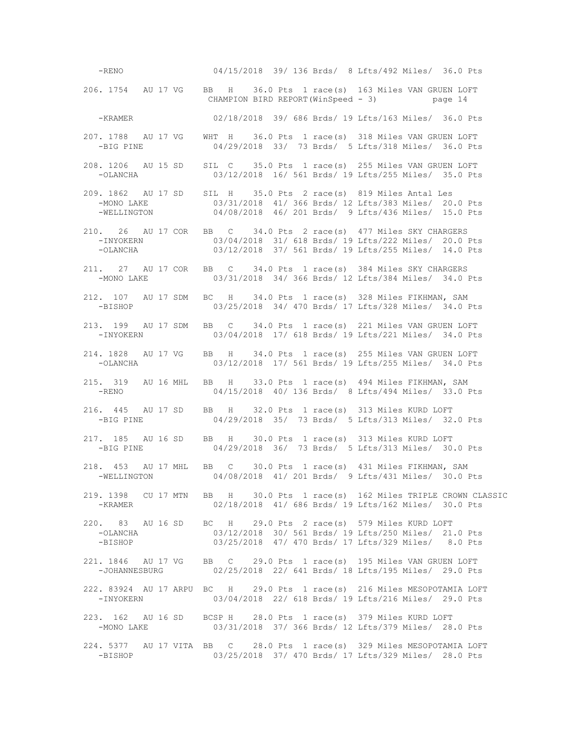-RENO 04/15/2018 39/ 136 Brds/ 8 Lfts/492 Miles/ 36.0 Pts 206. 1754 AU 17 VG BB H 36.0 Pts 1 race(s) 163 Miles VAN GRUEN LOFT CHAMPION BIRD REPORT(WinSpeed - 3) page 14 -KRAMER 02/18/2018 39/ 686 Brds/ 19 Lfts/163 Miles/ 36.0 Pts 207. 1788 AU 17 VG WHT H 36.0 Pts 1 race(s) 318 Miles VAN GRUEN LOFT -BIG PINE 04/29/2018 33/ 73 Brds/ 5 Lfts/318 Miles/ 36.0 Pts 208. 1206 AU 15 SD SIL C 35.0 Pts 1 race(s) 255 Miles VAN GRUEN LOFT -OLANCHA 03/12/2018 16/ 561 Brds/ 19 Lfts/255 Miles/ 35.0 Pts 209. 1862 AU 17 SD SIL H 35.0 Pts 2 race(s) 819 Miles Antal Les 03/31/2018 41/ 366 Brds/ 12 Lfts/383 Miles/ 20.0 Pts -WELLINGTON 04/08/2018 46/ 201 Brds/ 9 Lfts/436 Miles/ 15.0 Pts 210. 26 AU 17 COR BB C 34.0 Pts 2 race(s) 477 Miles SKY CHARGERS -INYOKERN 03/04/2018 31/ 618 Brds/ 19 Lfts/222 Miles/ 20.0 Pts 03/12/2018 37/ 561 Brds/ 19 Lfts/255 Miles/ 14.0 Pts 211. 27 AU 17 COR BB C 34.0 Pts 1 race(s) 384 Miles SKY CHARGERS -MONO LAKE 03/31/2018 34/ 366 Brds/ 12 Lfts/384 Miles/ 34.0 Pts 212. 107 AU 17 SDM BC H 34.0 Pts 1 race(s) 328 Miles FIKHMAN, SAM -BISHOP 03/25/2018 34/ 470 Brds/ 17 Lfts/328 Miles/ 34.0 Pts 213. 199 AU 17 SDM BB C 34.0 Pts 1 race(s) 221 Miles VAN GRUEN LOFT 03/04/2018 17/ 618 Brds/ 19 Lfts/221 Miles/ 34.0 Pts 214. 1828 AU 17 VG BB H 34.0 Pts 1 race(s) 255 Miles VAN GRUEN LOFT -OLANCHA 03/12/2018 17/ 561 Brds/ 19 Lfts/255 Miles/ 34.0 Pts 215. 319 AU 16 MHL BB H 33.0 Pts 1 race(s) 494 Miles FIKHMAN, SAM 04/15/2018 40/ 136 Brds/ 8 Lfts/494 Miles/ 33.0 Pts 216. 445 AU 17 SD BB H 32.0 Pts 1 race(s) 313 Miles KURD LOFT -BIG PINE 04/29/2018 35/ 73 Brds/ 5 Lfts/313 Miles/ 32.0 Pts 217. 185 AU 16 SD BB H 30.0 Pts 1 race(s) 313 Miles KURD LOFT -BIG PINE 04/29/2018 36/ 73 Brds/ 5 Lfts/313 Miles/ 30.0 Pts 218. 453 AU 17 MHL BB C 30.0 Pts 1 race(s) 431 Miles FIKHMAN, SAM -WELLINGTON 04/08/2018 41/ 201 Brds/ 9 Lfts/431 Miles/ 30.0 Pts 219. 1398 CU 17 MTN BB H 30.0 Pts 1 race(s) 162 Miles TRIPLE CROWN CLASSIC -KRAMER 02/18/2018 41/ 686 Brds/ 19 Lfts/162 Miles/ 30.0 Pts 220. 83 AU 16 SD BC H 29.0 Pts 2 race(s) 579 Miles KURD LOFT 03/12/2018 30/ 561 Brds/ 19 Lfts/250 Miles/ 21.0 Pts -BISHOP 03/25/2018 47/ 470 Brds/ 17 Lfts/329 Miles/ 8.0 Pts 221. 1846 AU 17 VG BB C 29.0 Pts 1 race(s) 195 Miles VAN GRUEN LOFT -JOHANNESBURG 02/25/2018 22/ 641 Brds/ 18 Lfts/195 Miles/ 29.0 Pts 222. 83924 AU 17 ARPU BC H 29.0 Pts 1 race(s) 216 Miles MESOPOTAMIA LOFT -INYOKERN 03/04/2018 22/ 618 Brds/ 19 Lfts/216 Miles/ 29.0 Pts 223. 162 AU 16 SD BCSP H 28.0 Pts 1 race(s) 379 Miles KURD LOFT -MONO LAKE 03/31/2018 37/ 366 Brds/ 12 Lfts/379 Miles/ 28.0 Pts 224. 5377 AU 17 VITA BB C 28.0 Pts 1 race(s) 329 Miles MESOPOTAMIA LOFT -BISHOP 03/25/2018 37/ 470 Brds/ 17 Lfts/329 Miles/ 28.0 Pts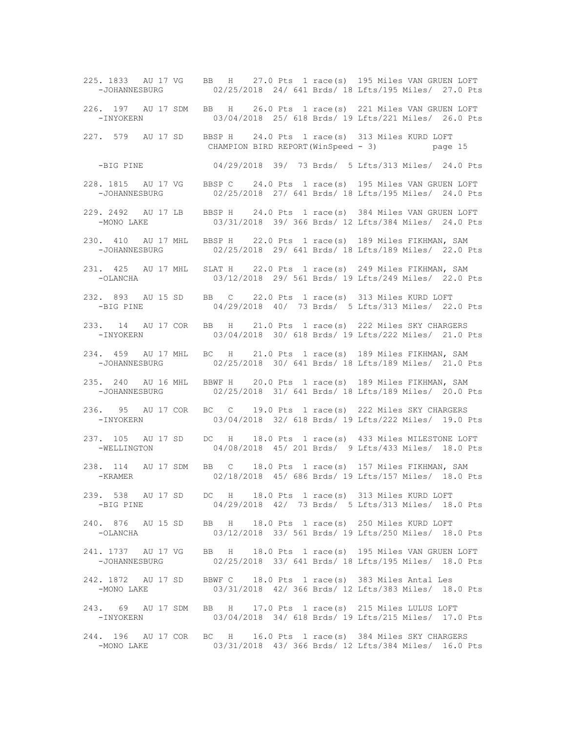225. 1833 AU 17 VG BB H 27.0 Pts 1 race(s) 195 Miles VAN GRUEN LOFT -JOHANNESBURG 02/25/2018 24/ 641 Brds/ 18 Lfts/195 Miles/ 27.0 Pts 226. 197 AU 17 SDM BB H 26.0 Pts 1 race(s) 221 Miles VAN GRUEN LOFT -INYOKERN 03/04/2018 25/ 618 Brds/ 19 Lfts/221 Miles/ 26.0 Pts 227. 579 AU 17 SD BBSP H 24.0 Pts 1 race(s) 313 Miles KURD LOFT CHAMPION BIRD REPORT(WinSpeed - 3) page 15 -BIG PINE 04/29/2018 39/ 73 Brds/ 5 Lfts/313 Miles/ 24.0 Pts 228. 1815 AU 17 VG BBSP C 24.0 Pts 1 race(s) 195 Miles VAN GRUEN LOFT -JOHANNESBURG 02/25/2018 27/ 641 Brds/ 18 Lfts/195 Miles/ 24.0 Pts 229. 2492 AU 17 LB BBSP H 24.0 Pts 1 race(s) 384 Miles VAN GRUEN LOFT -MONO LAKE 03/31/2018 39/ 366 Brds/ 12 Lfts/384 Miles/ 24.0 Pts 230. 410 AU 17 MHL BBSP H 22.0 Pts 1 race(s) 189 Miles FIKHMAN, SAM<br>-JOHANNESBURG 02/25/2018 29/641 Brds/18 Lfts/189 Miles/ 22.0 1 02/25/2018 29/ 641 Brds/ 18 Lfts/189 Miles/ 22.0 Pts 231. 425 AU 17 MHL SLAT H 22.0 Pts 1 race(s) 249 Miles FIKHMAN, SAM -OLANCHA 03/12/2018 29/ 561 Brds/ 19 Lfts/249 Miles/ 22.0 Pts 232. 893 AU 15 SD BB C 22.0 Pts 1 race(s) 313 Miles KURD LOFT -BIG PINE 04/29/2018 40/ 73 Brds/ 5 Lfts/313 Miles/ 22.0 Pts 233. 14 AU 17 COR BB H 21.0 Pts 1 race(s) 222 Miles SKY CHARGERS 03/04/2018 30/ 618 Brds/ 19 Lfts/222 Miles/ 21.0 Pts 234. 459 AU 17 MHL BC H 21.0 Pts 1 race(s) 189 Miles FIKHMAN, SAM -JOHANNESBURG 02/25/2018 30/ 641 Brds/ 18 Lfts/189 Miles/ 21.0 Pts 235. 240 AU 16 MHL BBWF H 20.0 Pts 1 race(s) 189 Miles FIKHMAN, SAM 02/25/2018 31/ 641 Brds/ 18 Lfts/189 Miles/ 20.0 Pts 236. 95 AU 17 COR BC C 19.0 Pts 1 race(s) 222 Miles SKY CHARGERS -INYOKERN 03/04/2018 32/ 618 Brds/ 19 Lfts/222 Miles/ 19.0 Pts 237. 105 AU 17 SD DC H 18.0 Pts 1 race(s) 433 Miles MILESTONE LOFT 04/08/2018 45/ 201 Brds/ 9 Lfts/433 Miles/ 18.0 Pts 238. 114 AU 17 SDM BB C 18.0 Pts 1 race(s) 157 Miles FIKHMAN, SAM -KRAMER 02/18/2018 45/ 686 Brds/ 19 Lfts/157 Miles/ 18.0 Pts 239. 538 AU 17 SD DC H 18.0 Pts 1 race(s) 313 Miles KURD LOFT -BIG PINE 04/29/2018 42/ 73 Brds/ 5 Lfts/313 Miles/ 18.0 Pts 240. 876 AU 15 SD BB H 18.0 Pts 1 race(s) 250 Miles KURD LOFT 03/12/2018 33/ 561 Brds/ 19 Lfts/250 Miles/ 18.0 Pts 241. 1737 AU 17 VG BB H 18.0 Pts 1 race(s) 195 Miles VAN GRUEN LOFT -JOHANNESBURG 02/25/2018 33/ 641 Brds/ 18 Lfts/195 Miles/ 18.0 Pts 242. 1872 AU 17 SD BBWF C 18.0 Pts 1 race(s) 383 Miles Antal Les -MONO LAKE 03/31/2018 42/ 366 Brds/ 12 Lfts/383 Miles/ 18.0 Pts 243. 69 AU 17 SDM BB H 17.0 Pts 1 race(s) 215 Miles LULUS LOFT -INYOKERN 03/04/2018 34/ 618 Brds/ 19 Lfts/215 Miles/ 17.0 Pts 244. 196 AU 17 COR BC H 16.0 Pts 1 race(s) 384 Miles SKY CHARGERS 03/31/2018 43/ 366 Brds/ 12 Lfts/384 Miles/ 16.0 Pts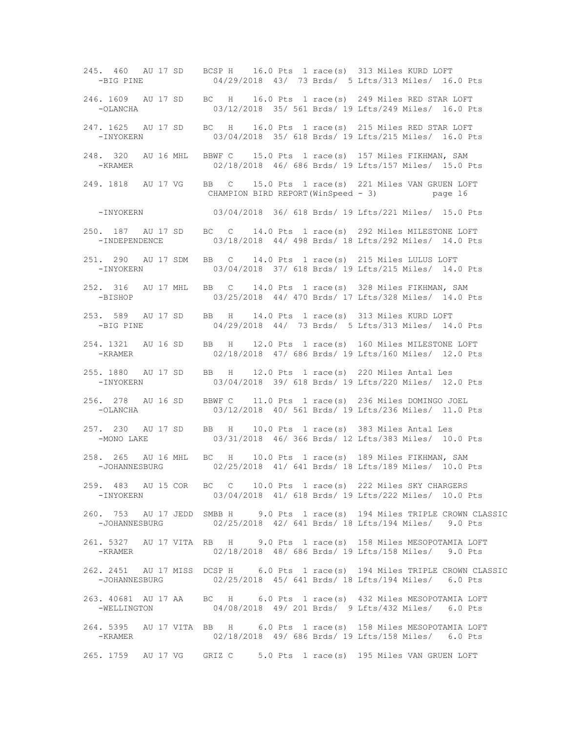245. 460 AU 17 SD BCSP H 16.0 Pts 1 race(s) 313 Miles KURD LOFT -BIG PINE 04/29/2018 43/ 73 Brds/ 5 Lfts/313 Miles/ 16.0 Pts 246. 1609 AU 17 SD BC H 16.0 Pts 1 race(s) 249 Miles RED STAR LOFT -OLANCHA 03/12/2018 35/ 561 Brds/ 19 Lfts/249 Miles/ 16.0 Pts 247. 1625 AU 17 SD BC H 16.0 Pts 1 race(s) 215 Miles RED STAR LOFT -INYOKERN 03/04/2018 35/ 618 Brds/ 19 Lfts/215 Miles/ 16.0 Pts 248. 320 AU 16 MHL BBWF C 15.0 Pts 1 race(s) 157 Miles FIKHMAN, SAM -KRAMER 02/18/2018 46/ 686 Brds/ 19 Lfts/157 Miles/ 15.0 Pts 249. 1818 AU 17 VG BB C 15.0 Pts 1 race(s) 221 Miles VAN GRUEN LOFT CHAMPION BIRD REPORT(WinSpeed - 3) page 16 -INYOKERN 03/04/2018 36/ 618 Brds/ 19 Lfts/221 Miles/ 15.0 Pts 250. 187 AU 17 SD BC C 14.0 Pts 1 race(s) 292 Miles MILESTONE LOFT -INDEPENDENCE 03/18/2018 44/ 498 Brds/ 18 Lfts/292 Miles/ 14.0 Pts 251. 290 AU 17 SDM BB C 14.0 Pts 1 race(s) 215 Miles LULUS LOFT 03/04/2018 37/ 618 Brds/ 19 Lfts/215 Miles/ 14.0 Pts 252. 316 AU 17 MHL BB C 14.0 Pts 1 race(s) 328 Miles FIKHMAN, SAM -BISHOP 03/25/2018 44/ 470 Brds/ 17 Lfts/328 Miles/ 14.0 Pts 253. 589 AU 17 SD BB H 14.0 Pts 1 race(s) 313 Miles KURD LOFT -BIG PINE 04/29/2018 44/ 73 Brds/ 5 Lfts/313 Miles/ 14.0 Pts 254. 1321 AU 16 SD BB H 12.0 Pts 1 race(s) 160 Miles MILESTONE LOFT -KRAMER 02/18/2018 47/ 686 Brds/ 19 Lfts/160 Miles/ 12.0 Pts 255. 1880 AU 17 SD BB H 12.0 Pts 1 race(s) 220 Miles Antal Les -INYOKERN 03/04/2018 39/ 618 Brds/ 19 Lfts/220 Miles/ 12.0 Pts 256. 278 AU 16 SD BBWF C 11.0 Pts 1 race(s) 236 Miles DOMINGO JOEL 03/12/2018 40/ 561 Brds/ 19 Lfts/236 Miles/ 11.0 Pts 257. 230 AU 17 SD BB H 10.0 Pts 1 race(s) 383 Miles Antal Les -MONO LAKE 03/31/2018 46/ 366 Brds/ 12 Lfts/383 Miles/ 10.0 Pts 258. 265 AU 16 MHL BC H 10.0 Pts 1 race(s) 189 Miles FIKHMAN, SAM -JOHANNESBURG 02/25/2018 41/ 641 Brds/ 18 Lfts/189 Miles/ 10.0 Pts 259. 483 AU 15 COR BC C 10.0 Pts 1 race(s) 222 Miles SKY CHARGERS -INYOKERN 03/04/2018 41/ 618 Brds/ 19 Lfts/222 Miles/ 10.0 Pts 260. 753 AU 17 JEDD SMBB H 9.0 Pts 1 race(s) 194 Miles TRIPLE CROWN CLASSIC -JOHANNESBURG 02/25/2018 42/ 641 Brds/ 18 Lfts/194 Miles/ 9.0 Pts 261. 5327 AU 17 VITA RB H 9.0 Pts 1 race(s) 158 Miles MESOPOTAMIA LOFT -KRAMER 02/18/2018 48/ 686 Brds/ 19 Lfts/158 Miles/ 9.0 Pts 262. 2451 AU 17 MISS DCSP H 6.0 Pts 1 race(s) 194 Miles TRIPLE CROWN CLASSIC -JOHANNESBURG 02/25/2018 45/ 641 Brds/ 18 Lfts/194 Miles/ 6.0 Pts 263. 40681 AU 17 AA BC H 6.0 Pts 1 race(s) 432 Miles MESOPOTAMIA LOFT -WELLINGTON 04/08/2018 49/ 201 Brds/ 9 Lfts/432 Miles/ 6.0 Pts 264. 5395 AU 17 VITA BB H 6.0 Pts 1 race(s) 158 Miles MESOPOTAMIA LOFT -KRAMER 02/18/2018 49/ 686 Brds/ 19 Lfts/158 Miles/ 6.0 Pts 265. 1759 AU 17 VG GRIZ C 5.0 Pts 1 race(s) 195 Miles VAN GRUEN LOFT